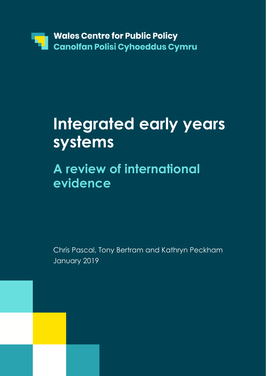

# **Integrated early years systems**

# **A review of international evidence**

Chris Pascal, Tony Bertram and Kathryn Peckham January 2019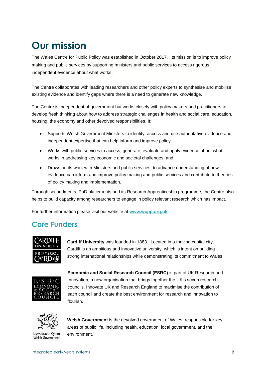# **Our mission**

The Wales Centre for Public Policy was established in October 2017. Its mission is to improve policy making and public services by supporting ministers and public services to access rigorous independent evidence about what works.

The Centre collaborates with leading researchers and other policy experts to synthesise and mobilise existing evidence and identify gaps where there is a need to generate new knowledge.

The Centre is independent of government but works closely with policy makers and practitioners to develop fresh thinking about how to address strategic challenges in health and social care, education, housing, the economy and other devolved responsibilities. It:

- Supports Welsh Government Ministers to identify, access and use authoritative evidence and independent expertise that can help inform and improve policy;
- Works with public services to access, generate, evaluate and apply evidence about what works in addressing key economic and societal challenges; and
- Draws on its work with Ministers and public services, to advance understanding of how evidence can inform and improve policy making and public services and contribute to theories of policy making and implementation.

Through secondments, PhD placements and its Research Apprenticeship programme, the Centre also helps to build capacity among researchers to engage in policy relevant research which has impact.

For further information please visit our website at **[www.wcpp.org.uk](http://www.wcpp.org.uk/)**

### **Core Funders**



**Cardiff University** was founded in 1883. Located in a thriving capital city, Cardiff is an ambitious and innovative university, which is intent on building strong international relationships while demonstrating its commitment to Wales.



**Economic and Social Research Council (ESRC)** is part of UK Research and Innovation, a new organisation that brings together the UK's seven research councils, Innovate UK and Research England to maximise the contribution of each council and create the best environment for research and innovation to flourish.



Welsh Government

**Welsh Government** is the devolved government of Wales, responsible for key areas of public life, including health, education, local government, and the environment.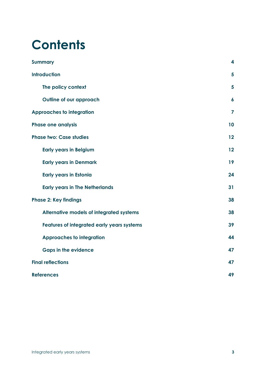# **Contents**

| <b>Summary</b>                             | 4                       |
|--------------------------------------------|-------------------------|
| <b>Introduction</b>                        | 5                       |
| The policy context                         | 5                       |
| Outline of our approach                    | $\boldsymbol{6}$        |
| <b>Approaches to integration</b>           | $\overline{\mathbf{z}}$ |
| <b>Phase one analysis</b>                  | 10                      |
| <b>Phase two: Case studies</b>             | 12                      |
| <b>Early years in Belgium</b>              | 12                      |
| <b>Early years in Denmark</b>              | 19                      |
| <b>Early years in Estonia</b>              | 24                      |
| <b>Early years in The Netherlands</b>      | 31                      |
| <b>Phase 2: Key findings</b>               | 38                      |
| Alternative models of integrated systems   | 38                      |
| Features of integrated early years systems | 39                      |
| <b>Approaches to integration</b>           | 44                      |
| <b>Gaps in the evidence</b>                | 47                      |
| <b>Final reflections</b>                   | 47                      |
| <b>References</b>                          | 49                      |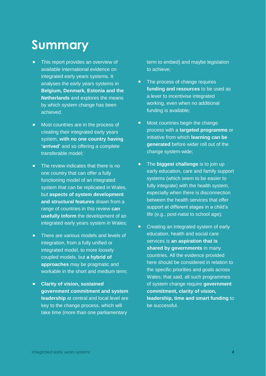# **Summary**

- **•** This report provides an overview of available international evidence on integrated early years systems. It analyses the early years systems in **Belgium, Denmark, Estonia and the Netherlands** and explores the means by which system change has been achieved.
- **•** Most countries are in the process of creating their integrated early years system, **with no one country having 'arrived'** and so offering a complete transferable model;
- **•** The review indicates that there is no one country that can offer a fully functioning model of an integrated system that can be replicated in Wales, but **aspects of system development and structural features** drawn from a range of countries in this review **can usefully inform** the development of an integrated early years system in Wales;
- **•** There are various models and levels of integration, from a fully unified or integrated model, to more loosely coupled models, but **a hybrid of approaches** may be pragmatic and workable in the short and medium term;
- **• Clarity of vision, sustained government commitment and system leadership** at central and local level are key to the change process, which will take time (more than one parliamentary

term to embed) and maybe legislation to achieve;

- **•** The process of change requires **funding and resources** to be used as a lever to incentivise integrated working, even when no additional funding is available;
- **•** Most countries begin the change process with a **targeted programme** or initiative from which **learning can be generated** before wider roll out of the change system-wide;
- **•** The **biggest challenge** is to join up early education, care and family support systems (which seem to be easier to fully integrate) with the health system, especially when there is disconnection between the health services that offer support at different stages in a child's life (e.g., post-natal to school age);
- **•** Creating an integrated system of early education, health and social care services is **an aspiration that is shared by governments** in many countries. All the evidence provided here should be considered in relation to the specific priorities and goals across Wales; that said, all such programmes of system change require **government commitment, clarity of vision, leadership, time and smart funding** to be successful.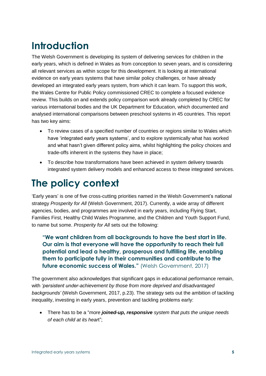# **Introduction**

The Welsh Government is developing its system of delivering services for children in the early years, which is defined in Wales as from conception to seven years, and is considering all relevant services as within scope for this development. It is looking at international evidence on early years systems that have similar policy challenges, or have already developed an integrated early years system, from which it can learn. To support this work, the Wales Centre for Public Policy commissioned CREC to complete a focused evidence review. This builds on and extends policy comparison work already completed by CREC for various international bodies and the UK Department for Education, which documented and analysed international comparisons between preschool systems in 45 countries. This report has two key aims:

- To review cases of a specified number of countries or regions similar to Wales which have 'integrated early years systems', and to explore systemically what has worked and what hasn't given different policy aims, whilst highlighting the policy choices and trade-offs inherent in the systems they have in place;
- To describe how transformations have been achieved in system delivery towards integrated system delivery models and enhanced access to these integrated services.

## **The policy context**

'Early years' is one of five cross-cutting priorities named in the Welsh Government's national strategy *Prosperity for All* (Welsh Government, 2017). Currently, a wide array of different agencies, bodies, and programmes are involved in early years, including Flying Start, Families First, Healthy Child Wales Programme, and the Children and Youth Support Fund, to name but some. *Prosperity for All* sets out the following:

**"We want children from all backgrounds to have the best start in life. Our aim is that everyone will have the opportunity to reach their full potential and lead a healthy, prosperous and fulfilling life, enabling them to participate fully in their communities and contribute to the future economic success of Wales."** (Welsh Government, 2017)

The government also acknowledges that significant gaps in educational performance remain, with *'persistent under-achievement by those from more deprived and disadvantaged backgrounds'* (Welsh Government, 2017, p.23). The strategy sets out the ambition of tackling inequality, investing in early years, prevention and tackling problems early:

• There has to be a "*more joined-up, responsive system that puts the unique needs of each child at its hear*t";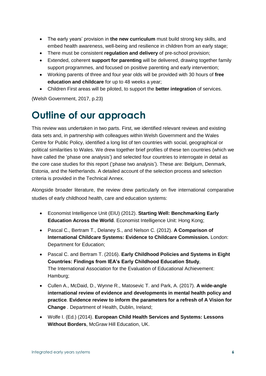- The early years' provision in **the new curriculum** must build strong key skills, and embed health awareness, well-being and resilience in children from an early stage;
- There must be consistent **regulation and delivery** of pre-school provision;
- Extended, coherent **support for parenting** will be delivered, drawing together family support programmes, and focused on positive parenting and early intervention;
- Working parents of three and four year olds will be provided with 30 hours of **free education and childcare** for up to 48 weeks a year;
- Children First areas will be piloted, to support the **better integration** of services.

(Welsh Government, 2017, p.23)

## **Outline of our approach**

This review was undertaken in two parts. First, we identified relevant reviews and existing data sets and, in partnership with colleagues within Welsh Government and the Wales Centre for Public Policy, identified a long list of ten countries with social, geographical or political similarities to Wales. We drew together brief profiles of these ten countries (which we have called the 'phase one analysis') and selected four countries to interrogate in detail as the core case studies for this report ('phase two analysis'). These are: Belgium, Denmark, Estonia, and the Netherlands. A detailed account of the selection process and selection criteria is provided in the Technical Annex.

Alongside broader literature, the review drew particularly on five international comparative studies of early childhood health, care and education systems:

- Economist Intelligence Unit (EIU) (2012). **Starting Well: Benchmarking Early Education Across the World.** Economist Intelligence Unit: Hong Kong;
- Pascal C., Bertram T., Delaney S., and Nelson C. (2012). **A Comparison of International Childcare Systems: Evidence to Childcare Commission.** London: Department for Education;
- Pascal C. and Bertram T. (2016). **Early Childhood Policies and Systems in Eight Countries: Findings from IEA's Early Childhood Education Study***,*  The International Association for the Evaluation of Educational Achievement: Hamburg;
- Cullen A., McDaid, D., Wynne R., Matosevic T. and Park, A. (2017). **A wide-angle international review of evidence and developments in mental health policy and practice***.* **Evidence review to inform the parameters for a refresh of A Vision for Change** *.* Department of Health, Dublin, Ireland;
- [Wolfe](https://www.google.co.uk/search?tbo=p&tbm=bks&q=inauthor:%22Ingrid+Wolfe%22&source=gbs_metadata_r&cad=6) I. (Ed.) (2014). **European Child Health Services and Systems: Lessons Without Borders**, McGraw Hill Education, UK.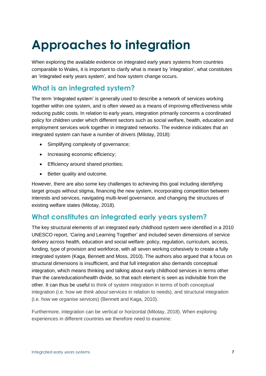# **Approaches to integration**

When exploring the available evidence on integrated early years systems from countries comparable to Wales*,* it is important to clarify what is meant by 'integration', what constitutes an 'integrated early years system', and how system change occurs.

### **What is an integrated system?**

The term 'integrated system' is generally used to describe a network of services working together within one system, and is often viewed as a means of improving effectiveness while reducing public costs. In relation to early years, integration primarily concerns a coordinated policy for children under which different sectors such as social welfare, health, education and employment services work together in integrated networks. The evidence indicates that an integrated system can have a number of drivers (Milotay, 2018):

- Simplifying complexity of governance;
- Increasing economic efficiency:
- Efficiency around shared priorities;
- Better quality and outcome.

However, there are also some key challenges to achieving this goal including identifying target groups without stigma, financing the new system, incorporating competition between interests and services, navigating multi-level governance, and changing the structures of existing welfare states (Milotay, 2018).

### **What constitutes an integrated early years system?**

The key structural elements of an integrated early childhood system were identified in a 2010 UNESCO report, 'Caring and Learning Together' and included seven dimensions of service delivery across health, education and social welfare: policy, regulation, curriculum, access, funding, type of provision and workforce, with all seven working cohesively to create a fully integrated system (Kaga, Bennett and Moss, 2010). The authors also argued that a focus on structural dimensions is insufficient, and that full integration also demands conceptual integration, which means thinking and talking about early childhood services in terms other than the care/education/health divide, so that each element is seen as indivisible from the other. It can thus be useful to think of system integration in terms of both conceptual integration (i.e. how we *think about* services in relation to needs), and structural integration (i.e. how we *organise* services) (Bennett and Kaga, 2010).

Furthermore, integration can be vertical or horizontal (Milotay, 2018). When exploring experiences in different countries we therefore need to examine: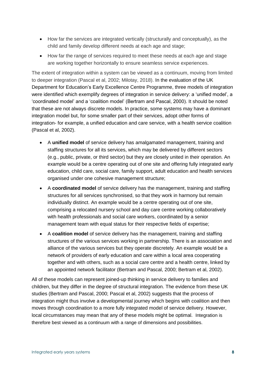- How far the services are integrated vertically (structurally and conceptually), as the child and family develop different needs at each age and stage;
- How far the range of services required to meet these needs at each age and stage are working together horizontally to ensure seamless service experiences.

The extent of integration within a system can be viewed as a continuum, moving from limited to deeper integration (Pascal et al, 2002; Milotay, 2018). In the evaluation of the UK Department for Education's Early Excellence Centre Programme, three models of integration were identified which exemplify degrees of integration in service delivery: a 'unified model', a 'coordinated model' and a 'coalition model' (Bertram and Pascal, 2000). It should be noted that these are not always discrete models. In practice, some systems may have a dominant integration model but, for some smaller part of their services, adopt other forms of integration- for example, a unified education and care service, with a health service coalition (Pascal et al, 2002).

- A **unified model** of service delivery has amalgamated management, training and staffing structures for all its services, which may be delivered by different sectors (e.g., public, private, or third sector) but they are closely united in their operation. An example would be a centre operating out of one site and offering fully integrated early education, child care, social care, family support, adult education and health services organised under one cohesive management structure;
- A **coordinated model** of service delivery has the management, training and staffing structures for all services synchronised, so that they work in harmony but remain individually distinct. An example would be a centre operating out of one site, comprising a relocated nursery school and day care centre working collaboratively with health professionals and social care workers, coordinated by a senior management team with equal status for their respective fields of expertise;
- A **coalition model** of service delivery has the management, training and staffing structures of the various services working in partnership. There is an association and alliance of the various services but they operate discretely. An example would be a network of providers of early education and care within a local area cooperating together and with others, such as a social care centre and a health centre, linked by an appointed network facilitator (Bertram and Pascal, 2000; Bertram et al, 2002).

All of these models can represent joined-up thinking in service delivery to families and children, but they differ in the degree of structural integration. The evidence from these UK studies (Bertram and Pascal, 2000; Pascal et al, 2002) suggests that the process of integration might thus involve a developmental journey which begins with coalition and then moves through coordination to a more fully integrated model of service delivery. However, local circumstances may mean that any of these models might be optimal. Integration is therefore best viewed as a continuum with a range of dimensions and possibilities.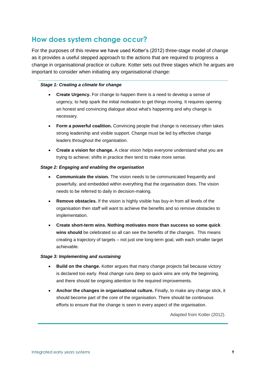#### **How does system change occur?**

For the purposes of this review we have used Kotter's (2012) three-stage model of change as it provides a useful stepped approach to the actions that are required to progress a change in organisational practice or culture. Kotter sets out three stages which he argues are important to consider when initiating any organisational change:

#### *Stage 1: Creating a climate for change*

- **Create Urgency.** For change to happen there is a need to develop a sense of urgency, to help spark the initial motivation to get things moving. It requires opening an honest and convincing dialogue about what's happening and why change is necessary.
- **Form a powerful coalition.** Convincing people that change is necessary often takes strong leadership and visible support. Change must be led by effective change leaders throughout the organisation.
- **Create a vision for change.** A clear vision helps everyone understand what you are trying to achieve; shifts in practice then tend to make more sense.

#### *Stage 2: Engaging and enabling the organisation*

- **Communicate the vision.** The vision needs to be communicated frequently and powerfully, and embedded within everything that the organisation does. The vision needs to be referred to daily in decision-making.
- **Remove obstacles.** If the vision is highly visible has buy-in from all levels of the organisation then staff will want to achieve the benefits and so remove obstacles to implementation.
- **Create short-term wins. Nothing motivates more than success so some quick wins should** be celebrated so all can see the benefits of the changes. This means creating a trajectory of targets – not just one long-term goal, with each smaller target achievable.

#### *Stage 3: Implementing and sustaining*

- **Build on the change.** Kotter argues that many change projects fail because victory is declared too early. Real change runs deep so quick wins are only the beginning, and there should be ongoing attention to the required improvements.
- **Anchor the changes in organisational culture.** Finally, to make any change stick, it should become part of the core of the organisation. There should be continuous efforts to ensure that the change is seen in every aspect of the organisation.

Adapted from Kotter (2012).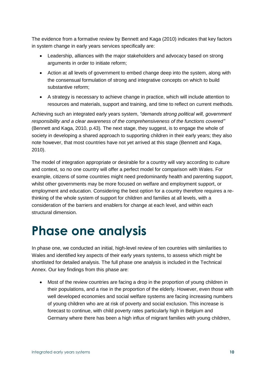The evidence from a formative review by Bennett and Kaga (2010) indicates that key factors in system change in early years services specifically are:

- Leadership, alliances with the major stakeholders and advocacy based on strong arguments in order to initiate reform;
- Action at all levels of government to embed change deep into the system, along with the consensual formulation of strong and integrative concepts on which to build substantive reform;
- A strategy is necessary to achieve change in practice, which will include attention to resources and materials, support and training, and time to reflect on current methods.

Achieving such an integrated early years system, *"demands strong political will, government responsibility and a clear awareness of the comprehensiveness of the functions covered"*  (Bennett and Kaga, 2010, p.43)*.* The next stage, they suggest, is to engage the whole of society in developing a shared approach to supporting children in their early years; they also note however, that most countries have not yet arrived at this stage (Bennett and Kaga, 2010).

The model of integration appropriate or desirable for a country will vary according to culture and context, so no one country will offer a perfect model for comparison with Wales. For example, citizens of some countries might need predominantly health and parenting support, whilst other governments may be more focused on welfare and employment support, or employment and education. Considering the best option for a country therefore requires a rethinking of the whole system of support for children and families at all levels, with a consideration of the barriers and enablers for change at each level, and within each structural dimension.

# **Phase one analysis**

In phase one, we conducted an initial, high-level review of ten countries with similarities to Wales and identified key aspects of their early years systems, to assess which might be shortlisted for detailed analysis. The full phase one analysis is included in the Technical Annex. Our key findings from this phase are:

• Most of the review countries are facing a drop in the proportion of young children in their populations, and a rise in the proportion of the elderly. However, even those with well developed economies and social welfare systems are facing increasing numbers of young children who are at risk of poverty and social exclusion. This increase is forecast to continue, with child poverty rates particularly high in Belgium and Germany where there has been a high influx of migrant families with young children,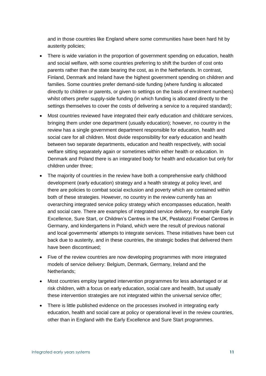and in those countries like England where some communities have been hard hit by austerity policies;

- There is wide variation in the proportion of government spending on education, health and social welfare, with some countries preferring to shift the burden of cost onto parents rather than the state bearing the cost, as in the Netherlands. In contrast, Finland, Denmark and Ireland have the highest government spending on children and families. Some countries prefer demand-side funding (where funding is allocated directly to children or parents, or given to settings on the basis of enrolment numbers) whilst others prefer supply-side funding (in which funding is allocated directly to the settings themselves to cover the costs of delivering a service to a required standard);
- Most countries reviewed have integrated their early education and childcare services, bringing them under one department (usually education); however, no country in the review has a single government department responsible for education, health and social care for all children. Most divide responsibility for early education and health between two separate departments, education and health respectively, with social welfare sitting separately again or sometimes within either health or education. In Denmark and Poland there is an integrated body for health and education but only for children under three;
- The majority of countries in the review have both a comprehensive early childhood development (early education) strategy and a health strategy at policy level, and there are policies to combat social exclusion and poverty which are contained within both of these strategies. However, no country in the review currently has an overarching integrated service policy strategy which encompasses education, health and social care. There are examples of integrated service delivery, for example Early Excellence, Sure Start, or Children's Centres in the UK, Pestalozzi Froebel Centres in Germany, and kindergartens in Poland, which were the result of previous national and local governments' attempts to integrate services. These initiatives have been cut back due to austerity, and in these countries, the strategic bodies that delivered them have been discontinued;
- Five of the review countries are now developing programmes with more integrated models of service delivery: Belgium, Denmark, Germany, Ireland and the Netherlands;
- Most countries employ targeted intervention programmes for less advantaged or at risk children, with a focus on early education, social care and health, but usually these intervention strategies are not integrated within the universal service offer;
- There is little published evidence on the processes involved in integrating early education, health and social care at policy or operational level in the review countries, other than in England with the Early Excellence and Sure Start programmes.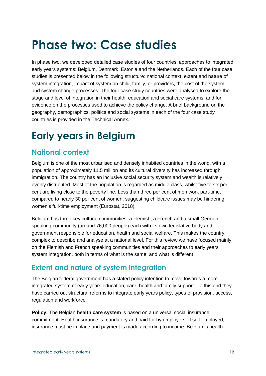# **Phase two: Case studies**

In phase two, we developed detailed case studies of four countries' approaches to integrated early years systems: Belgium, Denmark, Estonia and the Netherlands. Each of the four case studies is presented below in the following structure: national context, extent and nature of system integration, impact of system on child, family, or providers, the cost of the system, and system change processes. The four case study countries were analysed to explore the stage and level of integration in their health, education and social care systems, and for evidence on the processes used to achieve the policy change. A brief background on the geography, demographics, politics and social systems in each of the four case study countries is provided in the Technical Annex.

## **Early years in Belgium**

## **National context**

Belgium is one of the most urbanised and densely inhabited countries in the world, with a population of approximately 11.5 million and its cultural diversity has increased through immigration. The country has an inclusive social security system and wealth is relatively evenly distributed. Most of the population is regarded as middle class, whilst five to six per cent are living close to the poverty line. Less than three per cent of men work part-time, compared to nearly 30 per cent of women, suggesting childcare issues may be hindering women's full-time employment (Eurostat, 2018).

Belgium has three key cultural communities: a Flemish, a French and a small Germanspeaking community (around 76,000 people) each with its own legislative body and government responsible for education, health and social welfare. This makes the country complex to describe and analyse at a national level. For this review we have focused mainly on the Flemish and French speaking communities and their approaches to early years system integration, both in terms of what is the same, and what is different.

## **Extent and nature of system integration**

The Belgian federal government has a stated policy intention to move towards a more integrated system of early years education, care, health and family support. To this end they have carried out structural reforms to integrate early years policy, types of provision, access, regulation and workforce:

**Policy:** The Belgian **health care system** is based on a universal social insurance commitment. Health insurance is mandatory and paid for by employers. If self-employed, insurance must be in place and payment is made according to income. Belgium's health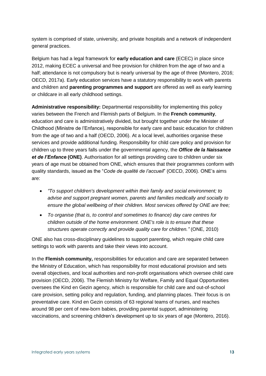system is comprised of state, university, and private hospitals and a network of independent general practices.

Belgium has had a legal framework for **early education and care** (ECEC) in place since 2012, making ECEC a universal and free provision for children from the age of two and a half; attendance is not compulsory but is nearly universal by the age of three (Montero, 2016; OECD, 2017a). Early education services have a statutory responsibility to work with parents and children and **parenting programmes and support** are offered as well as early learning or childcare in all early childhood settings.

**Administrative responsibility:** Departmental responsibility for implementing this policy varies between the French and Flemish parts of Belgium. In the **French community**, education and care is administratively divided, but brought together under the Minister of Childhood (Ministre de l'Enfance), responsible for early care and basic education for children from the age of two and a half (OECD, 2006). At a local level, authorities organise these services and provide additional funding. Responsibility for child care policy and provision for children up to three years falls under the governmental agency, the *Office de la Naissance et de l'Enfance* **(ONE)**. Authorisation for all settings providing care to children under six years of age must be obtained from ONE, which ensures that their programmes conform with quality standards, issued as the "*Code de qualité de l'accueil*" (OECD, 2006). ONE's aims are:

- *"To support children's development within their family and social environment; to advise and support pregnant women, parents and families medically and socially to ensure the global wellbeing of their children. Most services offered by ONE are free;*
- *To organise (that is, to control and sometimes to finance) day care centres for children outside of the home environment. ONE's role is to ensure that these structures operate correctly and provide quality care for children."* (ONE, 2010)

ONE also has cross-disciplinary guidelines to support parenting, which require child care settings to work with parents and take their views into account.

In the **Flemish community,** responsibilities for education and care are separated between the Ministry of Education, which has responsibility for most educational provision and sets overall objectives, and local authorities and non-profit organisations which oversee child care provision (OECD, 2006). The Flemish Ministry for Welfare, Family and Equal Opportunities oversees the Kind en Gezin agency, which is responsible for child care and out-of-school care provision, setting policy and regulation, funding, and planning places. Their focus is on preventative care. Kind en Gezin consists of 63 regional teams of nurses, and reaches around 98 per cent of new-born babies, providing parental support, administering vaccinations, and screening children's development up to six years of age (Montero, 2016).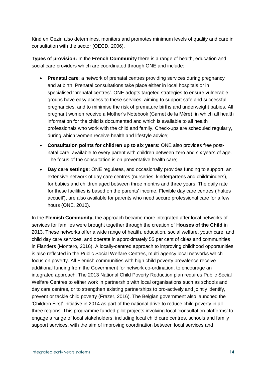Kind en Gezin also determines, monitors and promotes minimum levels of quality and care in consultation with the sector (OECD, 2006).

**Types of provision:** In the **French Community** there is a range of health, education and social care providers which are coordinated through ONE and include:

- **Prenatal care**: a network of prenatal centres providing services during pregnancy and at birth. Prenatal consultations take place either in local hospitals or in specialised 'prenatal centres'. ONE adopts targeted strategies to ensure vulnerable groups have easy access to these services, aiming to support safe and successful pregnancies, and to minimise the risk of premature births and underweight babies. All pregnant women receive a Mother's Notebook (Carnet de la Mère), in which all health information for the child is documented and which is available to all health professionals who work with the child and family. Check-ups are scheduled regularly, during which women receive health and lifestyle advice;
- **Consultation points for children up to six years:** ONE also provides free postnatal care, available to every parent with children between zero and six years of age. The focus of the consultation is on preventative health care;
- **Day care settings:** ONE regulates, and occasionally provides funding to support, an extensive network of day care centres (nurseries, kindergartens and childminders), for babies and children aged between three months and three years. The daily rate for these facilities is based on the parents' income. Flexible day care centres ('haltes accueil'), are also available for parents who need secure professional care for a few hours (ONE, 2010).

In the **Flemish Community,** the approach became more integrated after local networks of services for families were brought together through the creation of **Houses of the Child** in 2013. These networks offer a wide range of health, education, social welfare, youth care, and child day care services, and operate in approximately 55 per cent of cities and communities in Flanders (Montero, 2016). A locally-centred approach to improving childhood opportunities is also reflected in the Public Social Welfare Centres, multi-agency local networks which focus on poverty. All Flemish communities with high child poverty prevalence receive additional funding from the Government for network co-ordination, to encourage an integrated approach. The 2013 National Child Poverty Reduction plan requires Public Social Welfare Centres to either work in partnership with local organisations such as schools and day care centres, or to strengthen existing partnerships to pro-actively and jointly identify, prevent or tackle child poverty (Frazer, 2016). The Belgian government also launched the 'Children First' initiative in 2014 as part of the national drive to reduce child poverty in all three regions. This programme funded pilot projects involving local 'consultation platforms' to engage a range of local stakeholders, including local child care centres, schools and family support services, with the aim of improving coordination between local services and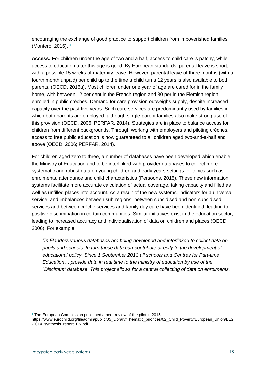encouraging the exchange of good practice to support children from impoverished families (Montero, 2016). **1**

**Access:** For children under the age of two and a half, access to child care is patchy, while access to education after this age is good. By European standards, parental leave is short, with a possible 15 weeks of maternity leave. However, parental leave of three months (with a fourth month unpaid) per child up to the time a child turns 12 years is also available to both parents. (OECD, 2016a). Most children under one year of age are cared for in the family home, with between 12 per cent in the French region and 30 per in the Flemish region enrolled in public crèches. Demand for care provision outweighs supply, despite increased capacity over the past five years. Such care services are predominantly used by families in which both parents are employed, although single-parent families also make strong use of this provision (OECD, 2006; PERFAR, 2014). Strategies are in place to balance access for children from different backgrounds. Through working with employers and piloting crèches, access to free public education is now guaranteed to all children aged two-and-a-half and above (OECD, 2006; PERFAR, 2014).

For children aged zero to three, a number of databases have been developed which enable the Ministry of Education and to be interlinked with provider databases to collect more systematic and robust data on young children and early years settings for topics such as enrolments, attendance and child characteristics (Persoons, 2015). These new information systems facilitate more accurate calculation of actual coverage, taking capacity and filled as well as unfilled places into account. As a result of the new systems, indicators for a universal service, and imbalances between sub-regions, between subsidised and non-subsidised services and between crèche services and family day care have been identified, leading to positive discrimination in certain communities. Similar initiatives exist in the education sector, leading to increased accuracy and individualisation of data on children and places (OECD, 2006). For example:

*"In Flanders various databases are being developed and interlinked to collect data on pupils and schools. In turn these data can contribute directly to the development of educational policy. Since 1 September 2013 all schools and Centres for Part-time Education… provide data in real time to the ministry of education by use of the "Discimus" database. This project allows for a central collecting of data on enrolments,* 

 $\overline{a}$ 

**<sup>1</sup>** The European Commission published a peer review of the pilot in 2015

https://www.eurochild.org/fileadmin/public/05\_Library/Thematic\_priorities/02\_Child\_Poverty/European\_Union/BE2 -2014\_synthesis\_report\_EN.pdf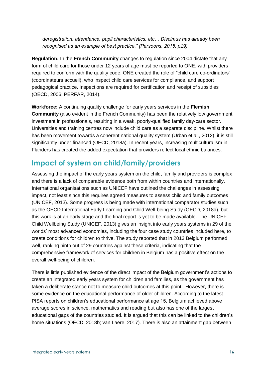*deregistration, attendance, pupil characteristics, etc… Discimus has already been recognised as an example of best practice." (Persoons, 2015, p19)* 

**Regulation:** In the **French Community** changes to regulation since 2004 dictate that any form of child care for those under 12 years of age must be reported to ONE, with providers required to conform with the quality code. ONE created the role of "child care co-ordinators" (coordinateurs accueil), who inspect child care services for compliance, and support pedagogical practice. Inspections are required for certification and receipt of subsidies (OECD, 2006; PERFAR, 2014).

**Workforce:** A continuing quality challenge for early years services in the **Flemish Community** (also evident in the French Community) has been the relatively low government investment in professionals, resulting in a weak, poorly-qualified family day-care sector. Universities and training centres now include child care as a separate discipline. Whilst there has been movement towards a coherent national quality system (Urban et al., 2012), it is still significantly under-financed (OECD, 2018a). In recent years, increasing multiculturalism in Flanders has created the added expectation that providers reflect local ethnic balances.

#### **Impact of system on child/family/providers**

Assessing the impact of the early years system on the child, family and providers is complex and there is a lack of comparable evidence both from within countries and internationally. International organisations such as UNICEF have outlined the challenges in assessing impact, not least since this requires agreed measures to assess child and family outcomes (UNICEF, 2013). Some progress is being made with international comparator studies such as the OECD International Early Learning and Child Well-being Study (OECD, 2018d), but this work is at an early stage and the final report is yet to be made available. The UNICEF Child Wellbeing Study (UNICEF, 2013) gives an insight into early years systems in 29 of the worlds' most advanced economies, including the four case study countries included here, to create conditions for children to thrive. The study reported that in 2013 Belgium performed well, ranking ninth out of 29 countries against these criteria, indicating that the comprehensive framework of services for children in Belgium has a positive effect on the overall well-being of children.

There is little published evidence of the direct impact of the Belgium government's actions to create an integrated early years system for children and families, as the government has taken a deliberate stance not to measure child outcomes at this point. However, there is some evidence on the educational performance of older children. According to the latest PISA reports on children's educational performance at age 15, Belgium achieved above average scores in science, mathematics and reading but also has one of the largest educational gaps of the countries studied. It is argued that this can be linked to the children's home situations (OECD, 2018b; van Laere, 2017). There is also an attainment gap between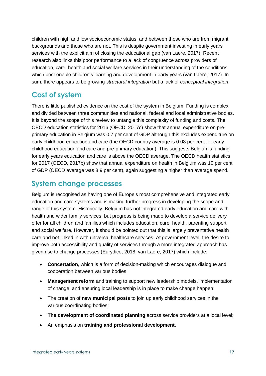children with high and low socioeconomic status, and between those who are from migrant backgrounds and those who are not. This is despite government investing in early years services with the explicit aim of closing the educational gap (van Laere, 2017). Recent research also links this poor performance to a lack of congruence across providers of education, care, health and social welfare services in their understanding of the conditions which best enable children's learning and development in early years (van Laere, 2017). In sum, there appears to be growing *structural integration* but a lack of *conceptual integration*.

#### **Cost of system**

There is little published evidence on the cost of the system in Belgium. Funding is complex and divided between three communities and national, federal and local administrative bodies. It is beyond the scope of this review to untangle this complexity of funding and costs. The OECD education statistics for 2016 (OECD, 2017c) show that annual expenditure on preprimary education in Belgium was 0.7 per cent of GDP although this excludes expenditure on early childhood education and care (the OECD country average is 0.08 per cent for early childhood education and care and pre-primary education). This suggests Belgium's funding for early years education and care is above the OECD average. The OECD health statistics for 2017 (OECD, 2017b) show that annual expenditure on health in Belgium was 10 per cent of GDP (OECD average was 8.9 per cent), again suggesting a higher than average spend.

### **System change processes**

Belgium is recognised as having one of Europe's most comprehensive and integrated early education and care systems and is making further progress in developing the scope and range of this system. Historically, Belgium has not integrated early education and care with health and wider family services, but progress is being made to develop a service delivery offer for all children and families which includes education, care, health, parenting support and social welfare. However, it should be pointed out that this is largely preventative health care and not linked in with universal healthcare services. At government level, the desire to improve both accessibility and quality of services through a more integrated approach has given rise to change processes (Eurydice, 2018; van Laere, 2017) which include:

- **Concertation**, which is a form of decision-making which encourages dialogue and cooperation between various bodies;
- **Management reform** and training to support new leadership models, implementation of change, and ensuring local leadership is in place to make change happen;
- The creation of **new municipal posts** to join up early childhood services in the various coordinating bodies;
- **The development of coordinated planning** across service providers at a local level;
- An emphasis on **training and professional development.**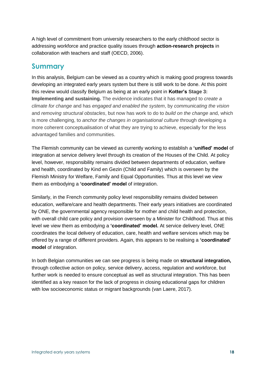A high level of commitment from university researchers to the early childhood sector is addressing workforce and practice quality issues through **action-research projects** in collaboration with teachers and staff (OECD, 2006).

#### **Summary**

In this analysis, Belgium can be viewed as a country which is making good progress towards developing an integrated early years system but there is still work to be done. At this point this review would classify Belgium as being at an early point in **Kotter's Stage 3: Implementing and sustaining.** The evidence indicates that it has managed to *create a climate for change* and has *engaged and enabled the system*, by *communicating the vision* and *removing structural obstacles*, but now has work to do to *build on the change* and, which is more challenging, to *anchor the changes in organisational culture* through developing a more coherent conceptualisation of what they are trying to achieve, especially for the less advantaged families and communities.

The Flemish community can be viewed as currently working to establish a **'unified' model** of integration at service delivery level through its creation of the Houses of the Child. At policy level, however, responsibility remains divided between departments of education, welfare and health, coordinated by Kind en Gezin (Child and Family) which is overseen by the Flemish Ministry for Welfare, Family and Equal Opportunities. Thus at this level we view them as embodying a **'coordinated' model** of integration.

Similarly, in the French community policy level responsibility remains divided between education, welfare/care and health departments. Their early years initiatives are coordinated by ONE, the governmental agency responsible for mother and child health and protection, with overall child care policy and provision overseen by a Minister for Childhood. Thus at this level we view them as embodying a **'coordinated' model.** At service delivery level, ONE coordinates the local delivery of education, care, health and welfare services which may be offered by a range of different providers. Again, this appears to be realising a **'coordinated' model** of integration.

In both Belgian communities we can see progress is being made on **structural integration,**  through collective action on policy, service delivery, access, regulation and workforce, but further work is needed to ensure conceptual as well as structural integration. This has been identified as a key reason for the lack of progress in closing educational gaps for children with low socioeconomic status or migrant backgrounds (van Laere, 2017).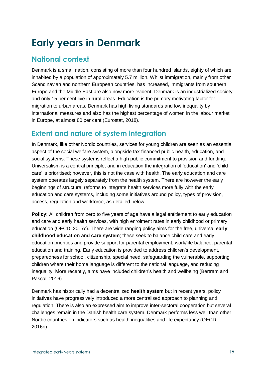## **Early years in Denmark**

### **National context**

Denmark is a small nation, consisting of more than four hundred islands, eighty of which are inhabited by a population of approximately 5.7 million. Whilst immigration, mainly from other Scandinavian and northern European countries, has increased, immigrants from southern Europe and the Middle East are also now more evident. Denmark is an industrialized society and only 15 per cent live in rural areas. Education is the primary motivating factor for migration to urban areas. Denmark has high living standards and low inequality by international measures and also has the highest percentage of women in the labour market in Europe, at almost 80 per cent (Eurostat, 2018).

### **Extent and nature of system integration**

In Denmark, like other Nordic countries, services for young children are seen as an essential aspect of the social welfare system, alongside tax-financed public health, education, and social systems. These systems reflect a high public commitment to provision and funding. Universalism is a central principle, and in education the integration of 'education' and 'child care' is prioritised; however, this is not the case with health. The early education and care system operates largely separately from the health system. There are however the early beginnings of structural reforms to integrate health services more fully with the early education and care systems, including some initiatives around policy, types of provision, access, regulation and workforce, as detailed below.

**Policy:** All children from zero to five years of age have a legal entitlement to early education and care and early health services, with high enrolment rates in early childhood or primary education (OECD, 2017c). There are wide ranging policy aims for the free, universal **early childhood education and care system**; these seek to balance child care and early education priorities and provide support for parental employment, work/life balance, parental education and training. Early education is provided to address children's development, preparedness for school, citizenship, special need, safeguarding the vulnerable, supporting children where their home language is different to the national language, and reducing inequality. More recently, aims have included children's health and wellbeing (Bertram and Pascal, 2016).

Denmark has historically had a decentralized **health system** but in recent years, policy initiatives have progressively introduced a more centralised approach to planning and regulation. There is also an expressed aim to improve inter-sectoral cooperation but several challenges remain in the Danish health care system. Denmark performs less well than other Nordic countries on indicators such as health inequalities and life expectancy (OECD, 2016b).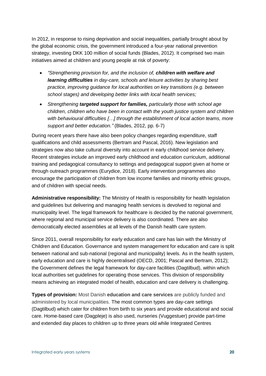In 2012, in response to rising deprivation and social inequalities, partially brought about by the global economic crisis, the government introduced a four-year national prevention strategy, investing DKK 100 million of social funds (Blades, 2012). It comprised two main initiatives aimed at children and young people at risk of poverty:

- *"Strengthening provision for, and the inclusion of, children with welfare and learning difficulties in day-care, schools and leisure activities by sharing best practice, improving guidance for local authorities on key transitions (e.g. between school stages) and developing better links with local health services;*
- *Strengthening targeted support for families, particularly those with school age children, children who have been in contact with the youth justice system and children with behavioural difficulties […] through the establishment of local action teams, more support and better education."* (Blades, 2012, pp. 6-7)

During recent years there have also been policy changes regarding expenditure, staff qualifications and child assessments (Bertram and Pascal, 2016). New legislation and strategies now also take cultural diversity into account in early childhood service delivery. Recent strategies include an improved early childhood and education curriculum, additional training and pedagogical consultancy to settings and pedagogical support given at home or through outreach programmes (Eurydice, 2018). Early intervention programmes also encourage the participation of children from low income families and minority ethnic groups, and of children with special needs.

**Administrative responsibility:** The Ministry of Health is responsibility for health legislation and guidelines but delivering and managing health services is devolved to regional and municipality level. The legal framework for healthcare is decided by the national government, where regional and municipal service delivery is also coordinated. There are also democratically elected assemblies at all levels of the Danish health care system.

Since 2011, overall responsibility for early education and care has lain with the Ministry of Children and Education. Governance and system management for education and care is split between national and sub-national (regional and municipality) levels. As in the health system, early education and care is highly decentralised (OECD, 2001; Pascal and Bertram, 2012); the Government defines the legal framework for day-care facilities (Dagtilbud), within which local authorities set guidelines for operating those services. This division of responsibility means achieving an integrated model of health, education and care delivery is challenging.

**Types of provision:** Most Danish **education and care services** are publicly funded and administered by local municipalities. The most common types are day-care settings (Dagtilbud) which cater for children from birth to six years and provide educational and social care. Home-based care (Dagpleje) is also used, nurseries (Vuggestuer) provide part-time and extended day places to children up to three years old while Integrated Centres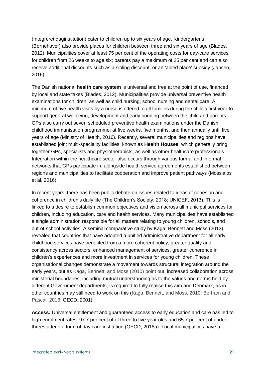(Integreret daginstitution) cater to children up to six years of age. Kindergartens (Børnehaver) also provide places for children between three and six years of age (Blades, 2012). Municipalities cover at least 75 per cent of the operating costs for day-care services for children from 26 weeks to age six; parents pay a maximum of 25 per cent and can also receive additional discounts such as a sibling discount, or an 'aided place' subsidy (Japsen, 2016).

The Danish national **health care system** is universal and free at the point of use, financed by local and state taxes (Blades, 2012). Municipalities provide universal preventive health examinations for children, as well as child nursing, school nursing and dental care. A minimum of five health visits by a nurse is offered to all families during the child's first year to support general wellbeing, development and early bonding between the child and parents. GPs also carry out seven scheduled preventive health examinations under the Danish childhood immunisation programme; at five weeks, five months, and then annually until five years of age (Ministry of Health, 2016). Recently, several municipalities and regions have established joint multi-speciality facilities, known as **Health Houses**, which generally bring together GPs, specialists and physiotherapists, as well as other healthcare professionals. Integration within the healthcare sector also occurs through various formal and informal networks that GPs participate in, alongside health service agreements established between regions and municipalities to facilitate cooperation and improve patient pathways (Mossialos et al, 2016).

In recent years, there has been public debate on issues related to ideas of cohesion and coherence in children's daily life (The Children's Society, 2018; UNICEF, 2013). This is linked to a desire to establish common objectives and vision across all municipal services for children, including education, care and health services. Many municipalities have established a single administration responsible for all matters relating to young children, schools, and out-of-school activities. A seminal comparative study by Kaga, Bennett and Moss (2013) revealed that countries that have adopted a unified administrative department for all early childhood services have benefited from a more coherent policy, greater quality and consistency across sectors, enhanced management of services, greater coherence in children's experiences and more investment in services for young children. These organisational changes demonstrate a movement towards structural integration around the early years, but as Kaga, Bennett, and Moss (2010) point out, increased collaboration across ministerial boundaries, including mutual understanding as to the values and norms held by different Government departments, is required to fully realise this aim and Denmark, as in other countries may still need to work on this (Kaga, Bennett, and Moss, 2010; Bertram and Pascal, 2016; OECD, 2001).

**Access:** Universal entitlement and guaranteed access to early education and care has led to high enrolment rates: 97.7 per cent of of three to five year olds and 65.7 per cent of under threes attend a form of day care institution (OECD, 2018a). Local municipalities have a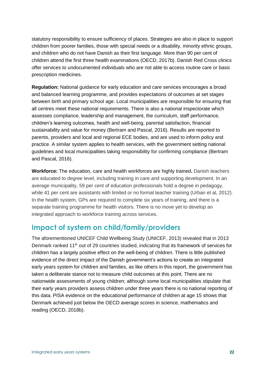statutory responsibility to ensure sufficiency of places. Strategies are also in place to support children from poorer families, those with special needs or a disability, minority ethnic groups, and children who do not have Danish as their first language. More than 90 per cent of children attend the first three health examinations (OECD, 2017b). Danish Red Cross clinics offer services to undocumented individuals who are not able to access routine care or basic prescription medicines.

**Regulation:** National guidance for early education and care services encourages a broad and balanced learning programme, and provides expectations of outcomes at set stages between birth and primary school age. Local municipalities are responsible for ensuring that all centres meet these national requirements. There is also a national inspectorate which assesses compliance, leadership and management, the curriculum, staff performance, children's learning outcomes, health and well-being, parental satisfaction, financial sustainability and value for money (Bertram and Pascal, 2016). Results are reported to parents, providers and local and regional ECE bodies, and are used to inform policy and practice. A similar system applies to health services, with the government setting national guidelines and local municipalities taking responsibility for confirming compliance (Bertram and Pascal, 2016).

**Workforce:** The education, care and health workforces are highly trained**.** Danish teachers are educated to degree level, including training in care and supporting development. In an average municipality, 59 per cent of education professionals hold a degree in pedagogy, while 41 per cent are assistants with limited or no formal teacher training (Urban et al, 2012). In the health system, GPs are required to complete six years of training, and there is a separate training programme for health visitors. There is no move yet to develop an integrated approach to workforce training across services.

#### **Impact of system on child/family/providers**

The aforementioned UNICEF Child Wellbeing Study (UNICEF, 2013) revealed that in 2013 Denmark ranked 11<sup>th</sup> out of 29 countries studied, indicating that its framework of services for children has a largely positive effect on the well-being of children. There is little published evidence of the direct impact of the Danish government's actions to create an integrated early years system for children and families, as like others in this report, the government has taken a deliberate stance not to measure child outcomes at this point. There are no nationwide assessments of young children; although some local municipalities stipulate that their early years providers assess children under three years there is no national reporting of this data. PISA evidence on the educational performance of children at age 15 shows that Denmark achieved just below the OECD average scores in science, mathematics and reading (OECD, 2018b).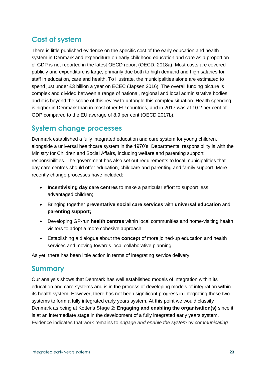## **Cost of system**

There is little published evidence on the specific cost of the early education and health system in Denmark and expenditure on early childhood education and care as a proportion of GDP is not reported in the latest OECD report (OECD, 2018a). Most costs are covered publicly and expenditure is large, primarily due both to high demand and high salaries for staff in education, care and health. To illustrate, the municipalities alone are estimated to spend just under £3 billion a year on ECEC (Japsen 2016). The overall funding picture is complex and divided between a range of national, regional and local administrative bodies and it is beyond the scope of this review to untangle this complex situation. Health spending is higher in Denmark than in most other EU countries, and in 2017 was at 10.2 per cent of GDP compared to the EU average of 8.9 per cent (OECD 2017b).

#### **System change processes**

Denmark established a fully integrated education and care system for young children, alongside a universal healthcare system in the 1970's. Departmental responsibility is with the Ministry for Children and Social Affairs, including welfare and parenting support responsibilities. The government has also set out requirements to local municipalities that day care centres should offer education, childcare and parenting and family support. More recently change processes have included:

- **Incentivising day care centres** to make a particular effort to support less advantaged children;
- Bringing together **preventative social care services** with **universal education** and **parenting support;**
- Developing GP-run **health centres** within local communities and home-visiting health visitors to adopt a more cohesive approach;
- Establishing a dialogue about the **concept** of more joined-up education and health services and moving towards local collaborative planning.

As yet, there has been little action in terms of integrating service delivery.

#### **Summary**

Our analysis shows that Denmark has well established models of integration within its education and care systems and is in the process of developing models of integration within its health system. However, there has not been significant progress in integrating these two systems to form a fully integrated early years system. At this point we would classify Denmark as being at Kotter's **Stage 2: Engaging and enabling the organisation(s)** since it is at an intermediate stage in the development of a fully integrated early years system. Evidence indicates that work remains to *engage and enable the system* by *communicating*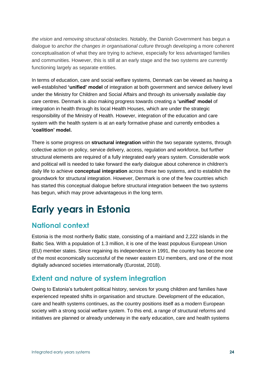*the vision* and *removing structural obstacles*. Notably, the Danish Government has begun a dialogue to *anchor the changes in organisational culture* through developing a more coherent conceptualisation of what they are trying to achieve, especially for less advantaged families and communities. However, this is still at an early stage and the two systems are currently functioning largely as separate entities.

In terms of education, care and social welfare systems, Denmark can be viewed as having a well-established **'unified' model** of integration at both government and service delivery level under the Ministry for Children and Social Affairs and through its universally available day care centres. Denmark is also making progress towards creating a **'unified' model** of integration in health through its local Health Houses, which are under the strategic responsibility of the Ministry of Health. However, integration of the education and care system with the health system is at an early formative phase and currently embodies a **'coalition' model.**

There is some progress on **structural integration** within the two separate systems, through collective action on policy, service delivery, access, regulation and workforce, but further structural elements are required of a fully integrated early years system. Considerable work and political will is needed to take forward the early dialogue about coherence in children's daily life to achieve **conceptual integration** across these two systems, and to establish the groundwork for structural integration. However, Denmark is one of the few countries which has started this conceptual dialogue before structural integration between the two systems has begun, which may prove advantageous in the long term.

# **Early years in Estonia**

## **National context**

Estonia is the most northerly Baltic state, consisting of a mainland and 2,222 islands in the Baltic Sea. With a population of 1.3 million, it is one of the least populous European Union (EU) member states. Since regaining its independence in 1991, the country has become one of the most economically successful of the newer eastern EU members, and one of the most digitally advanced societies internationally (Eurostat, 2018).

## **Extent and nature of system integration**

Owing to Estonia's turbulent political history, services for young children and families have experienced repeated shifts in organisation and structure. Development of the education, care and health systems continues, as the country positions itself as a modern European society with a strong social welfare system. To this end, a range of structural reforms and initiatives are planned or already underway in the early education, care and health systems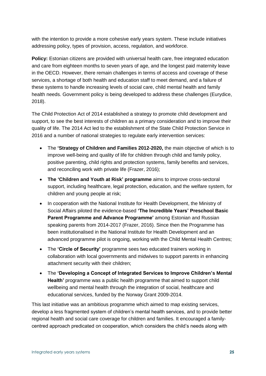with the intention to provide a more cohesive early years system. These include initiatives addressing policy, types of provision, access, regulation, and workforce.

**Policy:** Estonian citizens are provided with universal health care, free integrated education and care from eighteen months to seven years of age, and the longest paid maternity leave in the OECD. However, there remain challenges in terms of access and coverage of these services, a shortage of both health and education staff to meet demand, and a failure of these systems to handle increasing levels of social care, child mental health and family health needs. Government policy is being developed to address these challenges (Eurydice, 2018).

The Child Protection Act of 2014 established a strategy to promote child development and support, to see the best interests of children as a primary consideration and to improve their quality of life. The 2014 Act led to the establishment of the State Child Protection Service in 2016 and a number of national strategies to regulate early intervention services:

- The **'Strategy of Children and Families 2012-2020,** the main objective of which is to improve well-being and quality of life for children through child and family policy, positive parenting, child rights and protection systems, family benefits and services, and reconciling work with private life (Frazer, 2016);
- **The 'Children and Youth at Risk' programme** aims to improve cross‐sectoral support, including healthcare, legal protection, education, and the welfare system, for children and young people at risk;
- In cooperation with the National Institute for Health Development, the Ministry of Social Affairs piloted the evidence-based **'The Incredible Years' Preschool Basic Parent Programme and Advance Programme'** among Estonian and Russian speaking parents from 2014-2017 (Frazer, 2016). Since then the Programme has been institutionalised in the National Institute for Health Development and an advanced programme pilot is ongoing, working with the Child Mental Health Centres;
- The **'Circle of Security'** programme sees two educated trainers working in collaboration with local governments and midwives to support parents in enhancing attachment security with their children;
- The **'Developing a Concept of Integrated Services to Improve Children's Mental Health'** programme was a public health programme that aimed to support child wellbeing and mental health through the integration of social, healthcare and educational services, funded by the Norway Grant 2009-2014.

This last initiative was an ambitious programme which aimed to map existing services, develop a less fragmented system of children's mental health services, and to provide better regional health and social care coverage for children and families. It encouraged a familycentred approach predicated on cooperation, which considers the child's needs along with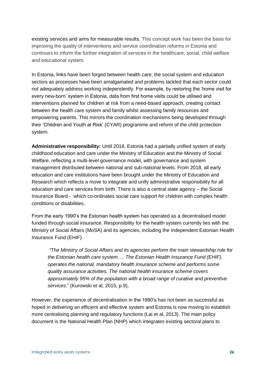existing services and aims for measurable results. This concept work has been the basis for improving the quality of interventions and service coordination reforms in Estonia and continues to inform the further integration of services in the healthcare, social, child welfare and educational system.

In Estonia, links have been forged between health care, the social system and education sectors as processes have been amalgamated and problems tackled that each sector could not adequately address working independently. For example, by restoring the 'home visit for every new-born' system in Estonia, data from first home visits could be utilised and interventions planned for children at risk from a need-based approach, creating contact between the health care system and family whilst assessing family resources and empowering parents. This mirrors the coordination mechanisms being developed through their 'Children and Youth at Risk' (CYAR) programme and reform of the child protection system.

**Administrative responsibility:** Until 2018, Estonia had a partially unified system of early childhood education and care under the Ministry of Education and the Ministry of Social Welfare, reflecting a multi-level governance model, with governance and system management distributed between national and sub-national levels. From 2018, all early education and care institutions have been brought under the Ministry of Education and Research which reflects a move to integrate and unify administrative responsibility for all education and care services from birth. There is also a central state agency – the Social Insurance Board - which co-ordinates social care support for children with complex health conditions or disabilities.

From the early 1990's the Estonian health system has operated as a decentralised model funded through social insurance. Responsibility for the health system currently lies with the Ministry of Social Affairs (MoSA) and its agencies, including the independent Estonian Health Insurance Fund (EHIF).

*"The Ministry of Social Affairs and its agencies perform the main stewardship role for the Estonian health care system…. The Estonian Health Insurance Fund (EHIF), operates the national, mandatory health insurance scheme and performs some quality assurance activities. The national health insurance scheme covers approximately 95% of the population with a broad range of curative and preventive services*." (Kurowski et al, 2015, p.9),

However, the experience of decentralisation in the 1990's has not been as successful as hoped in delivering an efficient and effective system and Estonia is now moving to establish more centralising planning and regulatory functions (Lai et al, 2013). The main policy document is the National Health Plan (NHP) which integrates existing sectoral plans to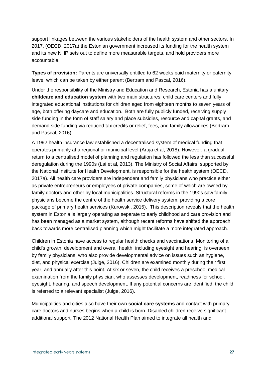support linkages between the various stakeholders of the health system and other sectors. In 2017, (OECD, 2017a) the Estonian government increased its funding for the health system and its new NHP sets out to define more measurable targets, and hold providers more accountable.

**Types of provision:** Parents are universally entitled to 62 weeks paid maternity or paternity leave, which can be taken by either parent (Bertram and Pascal, 2016).

Under the responsibility of the Ministry and Education and Research, Estonia has a unitary **childcare and education system** with two main structures; child care centers and fully integrated educational institutions for children aged from eighteen months to seven years of age, both offering daycare and education. Both are fully publicly funded, receiving supply side funding in the form of staff salary and place subsidies, resource and capital grants, and demand side funding via reduced tax credits or relief, fees, and family allowances (Bertram and Pascal, 2016).

A 1992 health insurance law established a decentralised system of medical funding that operates primarily at a regional or municipal level (Aruja et al, 2018). However, a gradual return to a centralised model of planning and regulation has followed the less than successful deregulation during the 1990s (Lai et al, 2013). The Ministry of Social Affairs, supported by the National Institute for Health Development, is responsible for the health system (OECD, 2017a). All health care providers are independent and family physicians who practice either as private entrepreneurs or employees of private companies, some of which are owned by family doctors and other by local municipalities. Structural reforms in the 1990s saw family physicians become the centre of the health service delivery system, providing a core package of primary health services (Kurowski, 2015). This description reveals that the health system in Estonia is largely operating as separate to early childhood and care provision and has been managed as a market system, although recent reforms have shifted the approach back towards more centralised planning which might facilitate a more integrated approach.

Children in Estonia have access to regular health checks and vaccinations. Monitoring of a child's growth, development and overall health, including eyesight and hearing, is overseen by family physicians, who also provide developmental advice on issues such as hygiene, diet, and physical exercise (Julge, 2016). Children are examined monthly during their first year, and annually after this point. At six or seven, the child receives a preschool medical examination from the family physician, who assesses development, readiness for school, eyesight, hearing, and speech development. If any potential concerns are identified, the child is referred to a relevant specialist (Julge, 2016).

Municipalities and cities also have their own **social care systems** and contact with primary care doctors and nurses begins when a child is born. Disabled children receive significant additional support. The 2012 National Health Plan aimed to integrate all health and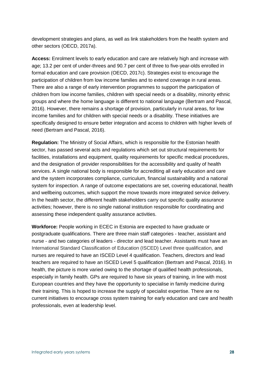development strategies and plans, as well as link stakeholders from the health system and other sectors (OECD, 2017a).

**Access:** Enrolment levels to early education and care are relatively high and increase with age; 13.2 per cent of under-threes and 90.7 per cent of three to five-year-olds enrolled in formal education and care provision (OECD, 2017c). Strategies exist to encourage the participation of children from low income families and to extend coverage in rural areas. There are also a range of early intervention programmes to support the participation of children from low income families, children with special needs or a disability, minority ethnic groups and where the home language is different to national language (Bertram and Pascal, 2016). However, there remains a shortage of provision, particularly in rural areas, for low income families and for children with special needs or a disability. These initiatives are specifically designed to ensure better integration and access to children with higher levels of need (Bertram and Pascal, 2016).

**Regulation:** The Ministry of Social Affairs, which is responsible for the Estonian health sector, has passed several acts and regulations which set out structural requirements for facilities, installations and equipment, quality requirements for specific medical procedures, and the designation of provider responsibilities for the accessibility and quality of health services. A single national body is responsible for accrediting all early education and care and the system incorporates compliance, curriculum, financial sustainability and a national system for inspection. A range of outcome expectations are set, covering educational, health and wellbeing outcomes, which support the move towards more integrated service delivery. In the health sector, the different health stakeholders carry out specific quality assurance activities; however, there is no single national institution responsible for coordinating and assessing these independent quality assurance activities.

**Workforce:** People working in ECEC in Estonia are expected to have graduate or postgraduate qualifications. There are three main staff categories - teacher, assistant and nurse - and two categories of leaders - director and lead teacher. Assistants must have an International Standard Classification of Education (ISCED) Level three qualification, and nurses are required to have an ISCED Level 4 qualification. Teachers, directors and lead teachers are required to have an ISCED Level 5 qualification (Bertram and Pascal, 2016). In health, the picture is more varied owing to the shortage of qualified health professionals, especially in family health. GPs are required to have six years of training, in line with most European countries and they have the opportunity to specialise in family medicine during their training. This is hoped to increase the supply of specialist expertise. There are no current initiatives to encourage cross system training for early education and care and health professionals, even at leadership level.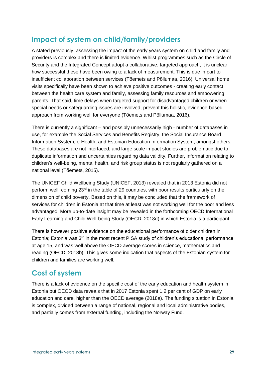### **Impact of system on child/family/providers**

A stated previously, assessing the impact of the early years system on child and family and providers is complex and there is limited evidence. Whilst programmes such as the Circle of Security and the Integrated Concept adopt a collaborative, targeted approach, it is unclear how successful these have been owing to a lack of measurement. This is due in part to insufficient collaboration between services (Tõemets and Põllumaa, 2016). Universal home visits specifically have been shown to achieve positive outcomes - creating early contact between the health care system and family, assessing family resources and empowering parents. That said, time delays when targeted support for disadvantaged children or when special needs or safeguarding issues are involved, prevent this holistic, evidence-based approach from working well for everyone (Tõemets and Põllumaa, 2016).

There is currently a significant – and possibly unnecessarily high - number of databases in use, for example the Social Services and Benefits Registry, the Social Insurance Board Information System, e-Health, and Estonian Education Information System, amongst others. These databases are not interfaced, and large scale impact studies are problematic due to duplicate information and uncertainties regarding data validity. Further, information relating to children's well-being, mental health, and risk group status is not regularly gathered on a national level (Tõemets, 2015).

The UNICEF Child Wellbeing Study (UNICEF, 2013) revealed that in 2013 Estonia did not perform well, coming 23<sup>rd</sup> in the table of 29 countries, with poor results particularly on the dimension of child poverty. Based on this, it may be concluded that the framework of services for children in Estonia at that time at least was not working well for the poor and less advantaged. More up-to-date insight may be revealed in the forthcoming OECD International Early Learning and Child Well-being Study (OECD, 2018d) in which Estonia is a participant.

There is however positive evidence on the educational performance of older children in Estonia; Estonia was 3<sup>rd</sup> in the most recent PISA study of children's educational performance at age 15, and was well above the OECD average scores in science, mathematics and reading (OECD, 2018b). This gives some indication that aspects of the Estonian system for children and families are working well.

#### **Cost of system**

There is a lack of evidence on the specific cost of the early education and health system in Estonia but OECD data reveals that in 2017 Estonia spent 1.2 per cent of GDP on early education and care, higher than the OECD average (2018a). The funding situation in Estonia is complex, divided between a range of national, regional and local administrative bodies, and partially comes from external funding, including the Norway Fund.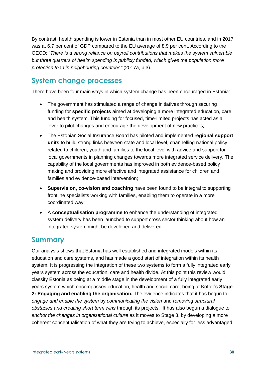By contrast, health spending is lower in Estonia than in most other EU countries, and in 2017 was at 6.7 per cent of GDP compared to the EU average of 8.9 per cent. According to the OECD: "*There is a strong reliance on payroll contributions that makes the system vulnerable but three quarters of health spending is publicly funded, which gives the population more protection than in neighbouring countries"* (2017a, p.3).

#### **System change processes**

There have been four main ways in which system change has been encouraged in Estonia:

- The government has stimulated a range of change initiatives through securing funding for **specific projects** aimed at developing a more integrated education, care and health system. This funding for focused, time-limited projects has acted as a lever to pilot changes and encourage the development of new practices;
- The Estonian Social Insurance Board has piloted and implemented **regional support units** to build strong links between state and local level, channelling national policy related to children, youth and families to the local level with advice and support for local governments in planning changes towards more integrated service delivery. The capability of the local governments has improved in both evidence-based policy making and providing more effective and integrated assistance for children and families and evidence-based intervention;
- **Supervision, co-vision and coaching** have been found to be integral to supporting frontline specialists working with families, enabling them to operate in a more coordinated way;
- A **conceptualisation programme** to enhance the understanding of integrated system delivery has been launched to support cross sector thinking about how an integrated system might be developed and delivered.

#### **Summary**

Our analysis shows that Estonia has well established and integrated models within its education and care systems, and has made a good start of integration within its health system. It is progressing the integration of these two systems to form a fully integrated early years system across the education, care and health divide. At this point this review would classify Estonia as being at a middle stage in the development of a fully integrated early years system which encompasses education, health and social care, being at Kotter's **Stage 2: Engaging and enabling the organisation.** The evidence indicates that it has begun to *engage and enable the system* by *communicating the vision* and *removing structural obstacles and creating short term wins* through its projects. It has also begun a dialogue to *anchor the changes in organisational culture* as it moves to Stage 3, by developing a more coherent conceptualisation of what they are trying to achieve, especially for less advantaged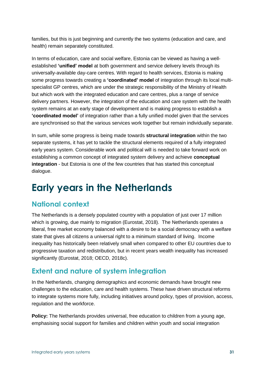families, but this is just beginning and currently the two systems (education and care, and health) remain separately constituted.

In terms of education, care and social welfare, Estonia can be viewed as having a wellestablished **'unified' model** at both government and service delivery levels through its universally-available day-care centres. With regard to health services, Estonia is making some progress towards creating a **'coordinated' model** of integration through its local multispecialist GP centres, which are under the strategic responsibility of the Ministry of Health but which work with the integrated education and care centres, plus a range of service delivery partners. However, the integration of the education and care system with the health system remains at an early stage of development and is making progress to establish a **'coordinated model'** of integration rather than a fully unified model given that the services are synchronised so that the various services work together but remain individually separate.

In sum, while some progress is being made towards **structural integration** within the two separate systems, it has yet to tackle the structural elements required of a fully integrated early years system. Considerable work and political will is needed to take forward work on establishing a common concept of integrated system delivery and achieve **conceptual integration** - but Estonia is one of the few countries that has started this conceptual dialogue.

## **Early years in the Netherlands**

### **National context**

The Netherlands is a densely populated country with a population of just over 17 million which is growing, due mainly to migration (Eurostat, 2018). The Netherlands operates a liberal, free market economy balanced with a desire to be a social democracy with a welfare state that gives all citizens a universal right to a minimum standard of living. Income inequality has historically been relatively small when compared to other EU countries due to progressive taxation and redistribution, but in recent years wealth inequality has increased significantly (Eurostat, 2018; OECD, 2018c).

#### **Extent and nature of system integration**

In the Netherlands, changing demographics and economic demands have brought new challenges to the education, care and health systems. These have driven structural reforms to integrate systems more fully, including initiatives around policy, types of provision, access, regulation and the workforce.

**Policy:** The Netherlands provides universal, free education to children from a young age, emphasising social support for families and children within youth and social integration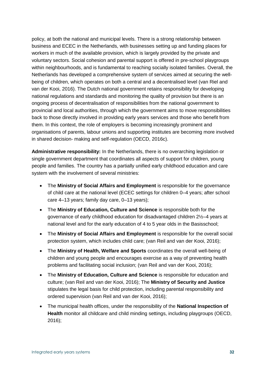policy, at both the national and municipal levels. There is a strong relationship between business and ECEC in the Netherlands, with businesses setting up and funding places for workers in much of the available provision, which is largely provided by the private and voluntary sectors. Social cohesion and parental support is offered in pre-school playgroups within neighbourhoods, and is fundamental to reaching socially isolated families. Overall, the Netherlands has developed a comprehensive system of services aimed at securing the wellbeing of children, which operates on both a central and a decentralised level (van Riel and van der Kooi, 2016). The Dutch national government retains responsibility for developing national regulations and standards and monitoring the quality of provision but there is an ongoing process of decentralisation of responsibilities from the national government to provincial and local authorities, through which the government aims to move responsibilities back to those directly involved in providing early years services and those who benefit from them. In this context, the role of employers is becoming increasingly prominent and organisations of parents, labour unions and supporting institutes are becoming more involved in shared decision- making and self-regulation (OECD, 2016c).

**Administrative responsibility:** In the Netherlands, there is no overarching legislation or single government department that coordinates all aspects of support for children, young people and families. The country has a partially unified early childhood education and care system with the involvement of several ministries:

- The **Ministry of Social Affairs and Employment** is responsible for the governance of child care at the national level (ECEC settings for children 0–4 years; after school care 4–13 years; family day care, 0–13 years);
- The **Ministry of Education, Culture and Science** is responsible both for the governance of early childhood education for disadvantaged children 2½–4 years at national level and for the early education of 4 to 5 year olds in the Basisschool;
- The **Ministry of Social Affairs and Employment** is responsible for the overall social protection system, which includes child care; (van Reil and van der Kooi, 2016);
- The **Ministry of Health, Welfare and Sports** coordinates the overall well-being of children and young people and encourages exercise as a way of preventing health problems and facilitating social inclusion; (van Reil and van der Kooi, 2016);
- The **Ministry of Education, Culture and Science** is responsible for education and culture; (van Reil and van der Kooi, 2016); The **Ministry of Security and Justice** stipulates the legal basis for child protection, including parental responsibility and ordered supervision (van Reil and van der Kooi, 2016);
- The municipal health offices, under the responsibility of the **National Inspection of Health** monitor all childcare and child minding settings, including playgroups (OECD, 2016);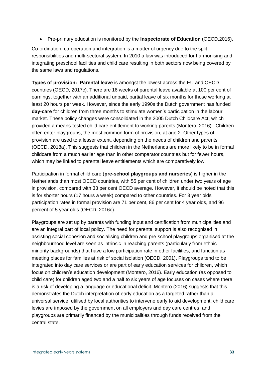• Pre-primary education is monitored by the **Inspectorate of Education** (OECD,2016).

Co-ordination, co-operation and integration is a matter of urgency due to the split responsibilities and multi-sectoral system. In 2010 a law was introduced for harmonising and integrating preschool facilities and child care resulting in both sectors now being covered by the same laws and regulations.

**Types of provision: Parental leave** is amongst the lowest across the EU and OECD countries (OECD, 2017c). There are 16 weeks of parental leave available at 100 per cent of earnings, together with an additional unpaid, partial leave of six months for those working at least 20 hours per week. However, since the early 1990s the Dutch government has funded **day-care** for children from three months to stimulate women's participation in the labour market. These policy changes were consolidated in the 2005 Dutch Childcare Act, which provided a means-tested child care entitlement to working parents (Montero, 2016). Children often enter playgroups, the most common form of provision, at age 2. Other types of provision are used to a lesser extent, depending on the needs of children and parents (OECD, 2018a). This suggests that children in the Netherlands are more likely to be in formal childcare from a much earlier age than in other comparator countries but for fewer hours, which may be linked to parental leave entitlements which are comparatively low.

Participation in formal child care (**pre-school playgroups and nurseries**) is higher in the Netherlands than most OECD countries, with 55 per cent of children under two years of age in provision, compared with 33 per cent OECD average. However, it should be noted that this is for shorter hours (17 hours a week) compared to other countries. For 3 year olds participation rates in formal provision are 71 per cent, 86 per cent for 4 year olds, and 96 percent of 5 year olds (OECD, 2016c).

Playgroups are set up by parents with funding input and certification from municipalities and are an integral part of local policy. The need for parental support is also recognised in assisting social cohesion and socialising children and pre-school playgroups organised at the neighbourhood level are seen as intrinsic in reaching parents (particularly from ethnic minority backgrounds) that have a low participation rate in other facilities, and function as meeting places for families at risk of social isolation (OECD, 2001). Playgroups tend to be integrated into day care services or are part of early education services for children, which focus on children's education development (Montero, 2016). Early education (as opposed to child care) for children aged two and a half to six years of age focuses on cases where there is a risk of developing a language or educational deficit. Montero (2016) suggests that this demonstrates the Dutch interpretation of early education as a targeted rather than a universal service, utilised by local authorities to intervene early to aid development; child care levies are imposed by the government on all employers and day care centres, and playgroups are primarily financed by the municipalities through funds received from the central state.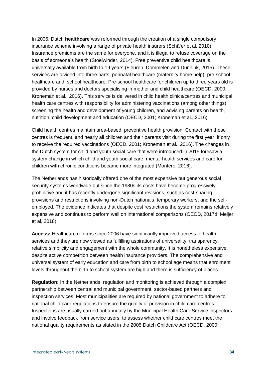In 2006, Dutch **healthcare** was reformed through the creation of a single compulsory insurance scheme involving a range of private health insurers (Schäfer et al, 2010). Insurance premiums are the same for everyone, and it is illegal to refuse coverage on the basis of someone's health (Stoelwinder, 2014). Free preventive child healthcare is universally available from birth to 19 years (Fleuren, Dommelen and Dunnink, 2015). These services are divided into three parts: perinatal healthcare (maternity home help), pre-school healthcare and, school healthcare. Pre-school healthcare for children up to three years old is provided by nurses and doctors specialising in mother and child healthcare (OECD, 2000; Kroneman et al., 2016). This service is delivered in child health clinics/centres and municipal health care centres with responsibility for administering vaccinations (among other things), screening the health and development of young children, and advising parents on health, nutrition, child development and education (OECD, 2001; Kroneman et al., 2016).

Child health centres maintain area-based, preventive health provision. Contact with these centres is frequent, and nearly all children and their parents visit during the first year, if only to receive the required vaccinations (OECD, 2001; Kroneman et al., 2016). The changes in the Dutch system for child and youth social care that were introduced in 2015 foresaw a system change in which child and youth social care, mental health services and care for children with chronic conditions became more integrated (Montero, 2016).

The Netherlands has historically offered one of the most expensive but generous social security systems worldwide but since the 1980s its costs have become progressively prohibitive and it has recently undergone significant revisions, such as cost-sharing provisions and restrictions involving non-Dutch nationals, temporary workers, and the selfemployed. The evidence indicates that despite cost restrictions the system remains relatively expensive and continues to perform well on international comparisons (OECD, 2017d; Meijer et al, 2018).

**Access:** Healthcare reforms since 2006 have significantly improved access to health services and they are now viewed as fulfilling aspirations of universality, transparency, relative simplicity and engagement with the whole community. It is nonetheless expensive, despite active competition between health insurance providers. The comprehensive and universal system of early education and care from birth to school age means that enrolment levels throughout the birth to school system are high and there is sufficiency of places.

**Regulation:** In the Netherlands, regulation and monitoring is achieved through a complex partnership between central and municipal government, sector-based partners and inspection services. Most municipalities are required by national government to adhere to national child care regulations to ensure the quality of provision in child care centres. Inspections are usually carried out annually by the Municipal Health Care Service inspectors and involve feedback from service users, to assess whether child care centres meet the national quality requirements as stated in the 2005 Dutch Childcare Act (OECD, 2000;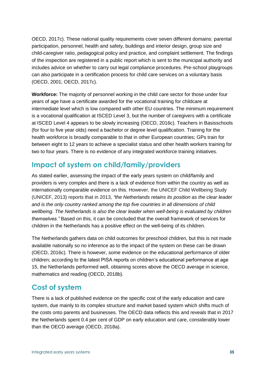OECD, 2017c). These national quality requirements cover seven different domains: parental participation, personnel, health and safety, buildings and interior design, group size and child-caregiver ratio, pedagogical policy and practice, and complaint settlement. The findings of the inspection are registered in a public report which is sent to the municipal authority and includes advice on whether to carry out legal compliance procedures. Pre-school playgroups can also participate in a certification process for child care services on a voluntary basis (OECD, 2001; OECD, 2017c).

**Workforce:** The majority of personnel working in the child care sector for those under four years of age have a certificate awarded for the vocational training for childcare at intermediate level which is low compared with other EU countries. The minimum requirement is a vocational qualification at ISCED Level 3, but the number of caregivers with a certificate at ISCED Level 4 appears to be slowly increasing (OECD, 2016c). Teachers in Basisschools (for four to five year olds) need a bachelor or degree level qualification. Training for the health workforce is broadly comparable to that in other European countries; GPs train for between eight to 12 years to achieve a specialist status and other health workers training for two to four years. There is no evidence of any integrated workforce training initiatives.

#### **Impact of system on child/family/providers**

As stated earlier, assessing the impact of the early years system on child/family and providers is very complex and there is a lack of evidence from within the country as well as internationally comparable evidence on this. However, the UNICEF Child Wellbeing Study (UNICEF, 2013) reports that in 2013, *"the Netherlands retains its position as the clear leader and is the only country ranked among the top five countries in all dimensions of child wellbeing. The Netherlands is also the clear leader when well-being is evaluated by children themselves."* Based on this, it can be concluded that the overall framework of services for children in the Netherlands has a positive effect on the well-being of its children.

The Netherlands gathers data on child outcomes for preschool children, but this is not made available nationally so no inference as to the impact of the system on these can be drawn (OECD, 2016c). There is however, some evidence on the educational performance of older children; according to the latest PISA reports on children's educational performance at age 15, the Netherlands performed well, obtaining scores above the OECD average in science, mathematics and reading (OECD, 2018b).

#### **Cost of system**

There is a lack of published evidence on the specific cost of the early education and care system, due mainly to its complex structure and market based system which shifts much of the costs onto parents and businesses. The OECD data reflects this and reveals that in 2017 the Netherlands spent 0.4 per cent of GDP on early education and care, considerably lower than the OECD average (OECD, 2018a).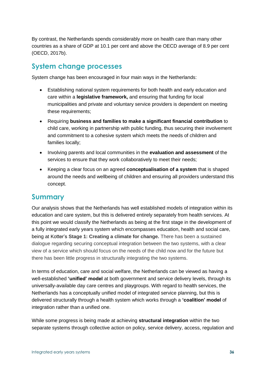By contrast, the Netherlands spends considerably more on health care than many other countries as a share of GDP at 10.1 per cent and above the OECD average of 8.9 per cent (OECD, 2017b).

#### **System change processes**

System change has been encouraged in four main ways in the Netherlands:

- Establishing national system requirements for both health and early education and care within a **legislative framework,** and ensuring that funding for local municipalities and private and voluntary service providers is dependent on meeting these requirements;
- Requiring **business and families to make a significant financial contribution** to child care, working in partnership with public funding, thus securing their involvement and commitment to a cohesive system which meets the needs of children and families locally;
- Involving parents and local communities in the **evaluation and assessment** of the services to ensure that they work collaboratively to meet their needs;
- Keeping a clear focus on an agreed **conceptualisation of a system** that is shaped around the needs and wellbeing of children and ensuring all providers understand this concept.

#### **Summary**

Our analysis shows that the Netherlands has well established models of integration within its education and care system, but this is delivered entirely separately from health services. At this point we would classify the Netherlands as being at the first stage in the development of a fully integrated early years system which encompasses education, health and social care, being at Kotter's **Stage 1: Creating a climate for change.** There has been a sustained dialogue regarding securing conceptual integration between the two systems, with a clear view of a service which should focus on the needs of the child now and for the future but there has been little progress in structurally integrating the two systems.

In terms of education, care and social welfare, the Netherlands can be viewed as having a well-established **'unified' model** at both government and service delivery levels, through its universally-available day care centres and playgroups. With regard to health services, the Netherlands has a conceptually unified model of integrated service planning, but this is delivered structurally through a health system which works through a **'coalition' model** of integration rather than a unified one.

While some progress is being made at achieving **structural integration** within the two separate systems through collective action on policy, service delivery, access, regulation and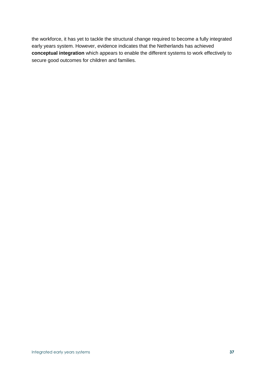the workforce, it has yet to tackle the structural change required to become a fully integrated early years system. However, evidence indicates that the Netherlands has achieved **conceptual integration** which appears to enable the different systems to work effectively to secure good outcomes for children and families.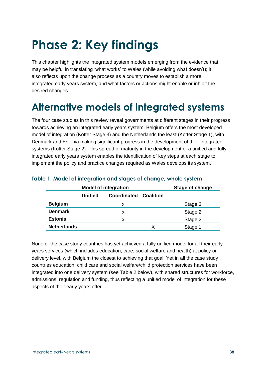# **Phase 2: Key findings**

This chapter highlights the integrated system models emerging from the evidence that may be helpful in translating 'what works' to Wales (while avoiding what doesn't); it also reflects upon the change process as a country moves to establish a more integrated early years system, and what factors or actions might enable or inhibit the desired changes.

## **Alternative models of integrated systems**

The four case studies in this review reveal governments at different stages in their progress towards achieving an integrated early years system. Belgium offers the most developed model of integration (Kotter Stage 3) and the Netherlands the least (Kotter Stage 1), with Denmark and Estonia making significant progress in the development of their integrated systems (Kotter Stage 2). This spread of maturity in the development of a unified and fully integrated early years system enables the identification of key steps at each stage to implement the policy and practice changes required as Wales develops its system.

|                    |         | <b>Model of integration</b> | Stage of change |         |
|--------------------|---------|-----------------------------|-----------------|---------|
|                    | Unified | Coordinated                 | Coalition       |         |
| <b>Belgium</b>     |         | х                           |                 | Stage 3 |
| <b>Denmark</b>     |         | х                           |                 | Stage 2 |
| <b>Estonia</b>     |         | х                           |                 | Stage 2 |
| <b>Netherlands</b> |         |                             | x               | Stage 1 |

#### **Table 1: Model of integration and stages of change, whole system**

None of the case study countries has yet achieved a fully unified model for all their early years services (which includes education, care, social welfare and health) at policy or delivery level, with Belgium the closest to achieving that goal. Yet in all the case study countries education, child care and social welfare/child protection services have been integrated into one delivery system (see Table 2 below), with shared structures for workforce, admissions, regulation and funding, thus reflecting a unified model of integration for these aspects of their early years offer.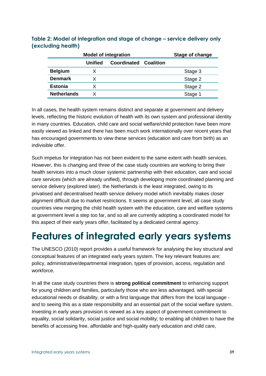|                    | <b>Model of integration</b> |             |           | Stage of change |
|--------------------|-----------------------------|-------------|-----------|-----------------|
|                    | Unified                     | Coordinated | Coalition |                 |
| <b>Belgium</b>     |                             |             |           | Stage 3         |
| <b>Denmark</b>     |                             |             |           | Stage 2         |
| <b>Estonia</b>     | x                           |             |           | Stage 2         |
| <b>Netherlands</b> |                             |             |           | Stage 1         |

#### **Table 2: Model of integration and stage of change – service delivery only (excluding health)**

In all cases, the health system remains distinct and separate at government and delivery levels, reflecting the historic evolution of health with its own system and professional identity in many countries. Education, child care and social welfare/child protection have been more easily viewed as linked and there has been much work internationally over recent years that has encouraged governments to view these services (education and care from birth) as an indivisible offer.

Such impetus for integration has not been evident to the same extent with health services. However, this is changing and three of the case study countries are working to bring their health services into a much closer systemic partnership with their education, care and social care services (which are already unified), through developing more coordinated planning and service delivery (explored later). the Netherlands is the least integrated, owing to its privatised and decentralised health service delivery model which inevitably makes closer alignment difficult due to market restrictions. It seems at government level, all case study countries view merging the child health system with the education, care and welfare systems at government level a step too far, and so all are currently adopting a coordinated model for this aspect of their early years offer, facilitated by a dedicated central agency.

## **Features of integrated early years systems**

The UNESCO (2010) report provides a useful framework for analysing the key structural and conceptual features of an integrated early years system. The key relevant features are: policy, administrative/departmental integration, types of provision, access, regulation and workforce.

In all the case study countries there is **strong political commitment** to enhancing support for young children and families, particularly those who are less advantaged, with special educational needs or disability, or with a first language that differs from the local language and to seeing this as a state responsibility and an essential part of the social welfare system. Investing in early years provision is viewed as a key aspect of government commitment to equality, social solidarity, social justice and social mobility; to enabling all children to have the benefits of accessing free, affordable and high-quality early education and child care,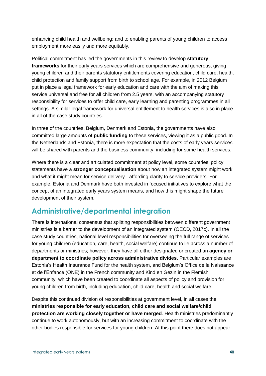enhancing child health and wellbeing; and to enabling parents of young children to access employment more easily and more equitably.

Political commitment has led the governments in this review to develop **statutory frameworks** for their early years services which are comprehensive and generous, giving young children and their parents statutory entitlements covering education, child care, health, child protection and family support from birth to school age. For example, in 2012 Belgium put in place a legal framework for early education and care with the aim of making this service universal and free for all children from 2.5 years, with an accompanying statutory responsibility for services to offer child care, early learning and parenting programmes in all settings. A similar legal framework for universal entitlement to health services is also in place in all of the case study countries.

In three of the countries, Belgium, Denmark and Estonia, the governments have also committed large amounts of **public funding** to these services, viewing it as a public good. In the Netherlands and Estonia, there is more expectation that the costs of early years services will be shared with parents and the business community, including for some health services.

Where there is a clear and articulated commitment at policy level, some countries' policy statements have a **stronger conceptualisation** about how an integrated system might work and what it might mean for service delivery - affording clarity to service providers. For example, Estonia and Denmark have both invested in focused initiatives to explore what the concept of an integrated early years system means, and how this might shape the future development of their system.

### **Administrative/departmental integration**

There is international consensus that splitting responsibilities between different government ministries is a barrier to the development of an integrated system (OECD, 2017c). In all the case study countries, national level responsibilities for overseeing the full range of services for young children (education, care, health, social welfare) continue to lie across a number of departments or ministries; however, they have all either designated or created an **agency or department to coordinate policy across administrative divides**. Particular examples are Estonia's Health Insurance Fund for the health system, and Belgium's Office de la Naissance et de l'Enfance (ONE) in the French community and Kind en Gezin in the Flemish community, which have been created to coordinate all aspects of policy and provision for young children from birth, including education, child care, health and social welfare.

Despite this continued division of responsibilities at government level, in all cases the **ministries responsible for early education, child care and social welfare/child protection are working closely together or have merged**. Health ministries predominantly continue to work autonomously, but with an increasing commitment to coordinate with the other bodies responsible for services for young children. At this point there does not appear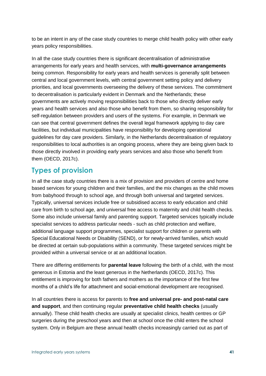to be an intent in any of the case study countries to merge child health policy with other early years policy responsibilities.

In all the case study countries there is significant decentralisation of administrative arrangements for early years and health services, with **multi-governance arrangements** being common. Responsibility for early years and health services is generally split between central and local government levels, with central government setting policy and delivery priorities, and local governments overseeing the delivery of these services. The commitment to decentralisation is particularly evident in Denmark and the Netherlands; these governments are actively moving responsibilities back to those who directly deliver early years and health services and also those who benefit from them, so sharing responsibility for self-regulation between providers and users of the systems. For example, in Denmark we can see that central government defines the overall legal framework applying to day care facilities, but individual municipalities have responsibility for developing operational guidelines for day care providers. Similarly, in the Netherlands decentralisation of regulatory responsibilities to local authorities is an ongoing process, where they are being given back to those directly involved in providing early years services and also those who benefit from them (OECD, 2017c).

#### **Types of provision**

In all the case study countries there is a mix of provision and providers of centre and home based services for young children and their families, and the mix changes as the child moves from babyhood through to school age, and through both universal and targeted services. Typically, universal services include free or subsidised access to early education and child care from birth to school age, and universal free access to maternity and child health checks. Some also include universal family and parenting support. Targeted services typically include specialist services to address particular needs - such as child protection and welfare, additional language support programmes, specialist support for children or parents with Special Educational Needs or Disability (SEND), or for newly-arrived families, which would be directed at certain sub-populations within a community. These targeted services might be provided within a universal service or at an additional location.

There are differing entitlements for **parental leave** following the birth of a child, with the most generous in Estonia and the least generous in the Netherlands (OECD, 2017c). This entitlement is improving for both fathers and mothers as the importance of the first few months of a child's life for attachment and social-emotional development are recognised.

In all countries there is access for parents to **free and universal pre- and post-natal care and support**, and then continuing regular **preventative child health checks** (usually annually). These child health checks are usually at specialist clinics, health centres or GP surgeries during the preschool years and then at school once the child enters the school system. Only in Belgium are these annual health checks increasingly carried out as part of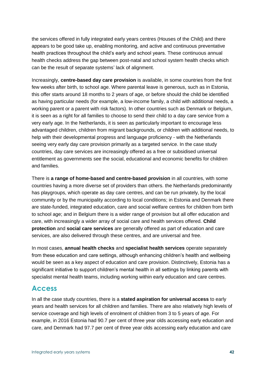the services offered in fully integrated early years centres (Houses of the Child) and there appears to be good take up, enabling monitoring, and active and continuous preventative health practices throughout the child's early and school years. These continuous annual health checks address the gap between post-natal and school system health checks which can be the result of separate systems' lack of alignment.

Increasingly, **centre-based day care provision** is available, in some countries from the first few weeks after birth, to school age. Where parental leave is generous, such as in Estonia, this offer starts around 18 months to 2 years of age, or before should the child be identified as having particular needs (for example, a low-income family, a child with additional needs, a working parent or a parent with risk factors). In other countries such as Denmark or Belgium, it is seen as a right for all families to choose to send their child to a day care service from a very early age. In the Netherlands, it is seen as particularly important to encourage less advantaged children, children from migrant backgrounds, or children with additional needs, to help with their developmental progress and language proficiency - with the Netherlands seeing very early day care provision primarily as a targeted service. In the case study countries, day care services are increasingly offered as a free or subsidised universal entitlement as governments see the social, educational and economic benefits for children and families.

There is **a range of home-based and centre-based provision** in all countries, with some countries having a more diverse set of providers than others. the Netherlands predominantly has playgroups, which operate as day care centres, and can be run privately, by the local community or by the municipality according to local conditions; in Estonia and Denmark there are state-funded, integrated education, care and social welfare centres for children from birth to school age; and in Belgium there is a wider range of provision but all offer education and care, with increasingly a wider array of social care and health services offered. **Child protection** and **social care services** are generally offered as part of education and care services, are also delivered through these centres, and are universal and free.

In most cases, **annual health checks** and **specialist health services** operate separately from these education and care settings, although enhancing children's health and wellbeing would be seen as a key aspect of education and care provision. Distinctively, Estonia has a significant initiative to support children's mental health in all settings by linking parents with specialist mental health teams, including working within early education and care centres.

#### **Access**

In all the case study countries, there is a **stated aspiration for universal access** to early years and health services for all children and families. There are also relatively high levels of service coverage and high levels of enrolment of children from 3 to 5 years of age. For example, in 2016 Estonia had 90.7 per cent of three year olds accessing early education and care, and Denmark had 97.7 per cent of three year olds accessing early education and care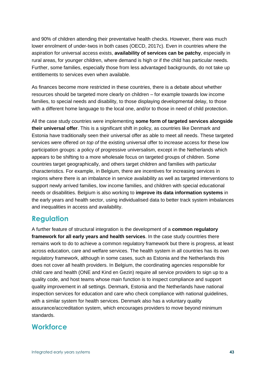and 90% of children attending their preventative health checks. However, there was much lower enrolment of under-twos in both cases (OECD, 2017c). Even in countries where the aspiration for universal access exists, **availability of services can be patchy**, especially in rural areas, for younger children, where demand is high or if the child has particular needs. Further, some families, especially those from less advantaged backgrounds, do not take up entitlements to services even when available.

As finances become more restricted in these countries, there is a debate about whether resources should be targeted more clearly on children – for example towards low income families, to special needs and disability, to those displaying developmental delay, to those with a different home language to the local one, and/or to those in need of child protection.

All the case study countries were implementing **some form of targeted services alongside their universal offer**. This is a significant shift in policy, as countries like Denmark and Estonia have traditionally seen their universal offer as able to meet all needs. These targeted services were offered *on top of* the existing universal offer to increase access for these low participation groups: a policy of progressive universalism, except in the Netherlands which appears to be shifting to a more wholesale focus on targeted groups of children. Some countries target geographically, and others target children and families with particular characteristics. For example, in Belgium, there are incentives for increasing services in regions where there is an imbalance in service availability as well as targeted interventions to support newly arrived families, low income families, and children with special educational needs or disabilities. Belgium is also working to **improve its data information systems** in the early years and health sector, using individualised data to better track system imbalances and inequalities in access and availability.

#### **Regulation**

A further feature of structural integration is the development of a **common regulatory framework for all early years and health services**. In the case study countries there remains work to do to achieve a common regulatory framework but there is progress, at least across education, care and welfare services. The health system in all countries has its own regulatory framework, although in some cases, such as Estonia and the Netherlands this does not cover all health providers. In Belgium, the coordinating agencies responsible for child care and health (ONE and Kind en Gezin) require all service providers to sign up to a quality code, and host teams whose main function is to inspect compliance and support quality improvement in all settings. Denmark, Estonia and the Netherlands have national inspection services for education and care who check compliance with national guidelines, with a similar system for health services. Denmark also has a voluntary quality assurance/accreditation system, which encourages providers to move beyond minimum standards.

#### **Workforce**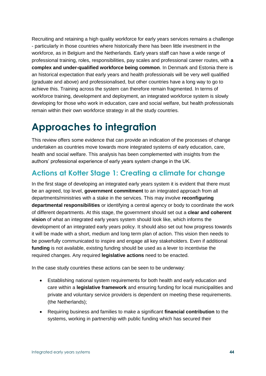Recruiting and retaining a high quality workforce for early years services remains a challenge - particularly in those countries where historically there has been little investment in the workforce, as in Belgium and the Netherlands. Early years staff can have a wide range of professional training, roles, responsibilities, pay scales and professional career routes, with **a complex and under-qualified workforce being common**. In Denmark and Estonia there is an historical expectation that early years and health professionals will be very well qualified (graduate and above) and professionalised, but other countries have a long way to go to achieve this. Training across the system can therefore remain fragmented. In terms of workforce training, development and deployment, an integrated workforce system is slowly developing for those who work in education, care and social welfare, but health professionals remain within their own workforce strategy in all the study countries.

## **Approaches to integration**

This review offers some evidence that can provide an indication of the processes of change undertaken as countries move towards more integrated systems of early education, care, health and social welfare. This analysis has been complemented with insights from the authors' professional experience of early years system change in the UK.

## **Actions at Kotter Stage 1: Creating a climate for change**

In the first stage of developing an integrated early years system it is evident that there must be an agreed, top level, **government commitment** to an integrated approach from all departments/ministries with a stake in the services. This may involve **reconfiguring departmental responsibilities** or identifying a central agency or body to coordinate the work of different departments. At this stage, the government should set out a **clear and coherent vision** of what an integrated early years system should look like, which informs the development of an integrated early years policy. It should also set out how progress towards it will be made with a short, medium and long term plan of action. This vision then needs to be powerfully communicated to inspire and engage all key stakeholders. Even if additional **funding** is not available, existing funding should be used as a lever to incentivise the required changes. Any required **legislative actions** need to be enacted.

In the case study countries these actions can be seen to be underway:

- Establishing national system requirements for both health and early education and care within a **legislative framework** and ensuring funding for local municipalities and private and voluntary service providers is dependent on meeting these requirements. (the Netherlands);
- Requiring business and families to make a significant **financial contribution** to the systems, working in partnership with public funding which has secured their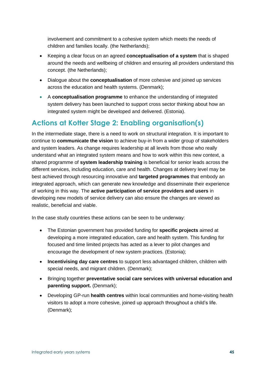involvement and commitment to a cohesive system which meets the needs of children and families locally. (the Netherlands);

- Keeping a clear focus on an agreed **conceptualisation of a system** that is shaped around the needs and wellbeing of children and ensuring all providers understand this concept. (the Netherlands);
- Dialogue about the **conceptualisation** of more cohesive and joined up services across the education and health systems. (Denmark);
- A **conceptualisation programme** to enhance the understanding of integrated system delivery has been launched to support cross sector thinking about how an integrated system might be developed and delivered. (Estonia).

### **Actions at Kotter Stage 2: Enabling organisation(s)**

In the intermediate stage, there is a need to work on structural integration. It is important to continue to **communicate the vision** to achieve buy-in from a wider group of stakeholders and system leaders. As change requires leadership at all levels from those who really understand what an integrated system means and how to work within this new context, a shared programme of **system leadership training** is beneficial for senior leads across the different services, including education, care and health. Changes at delivery level may be best achieved through resourcing innovative and **targeted programmes** that embody an integrated approach, which can generate new knowledge and disseminate their experience of working in this way. The **active participation of service providers and users** in developing new models of service delivery can also ensure the changes are viewed as realistic, beneficial and viable.

In the case study countries these actions can be seen to be underway:

- The Estonian government has provided funding for **specific projects** aimed at developing a more integrated education, care and health system. This funding for focused and time limited projects has acted as a lever to pilot changes and encourage the development of new system practices. (Estonia);
- **Incentivising day care centres** to support less advantaged children, children with special needs, and migrant children. (Denmark);
- Bringing together **preventative social care services with universal education and parenting support.** (Denmark);
- Developing GP-run **health centres** within local communities and home-visiting health visitors to adopt a more cohesive, joined up approach throughout a child's life. (Denmark);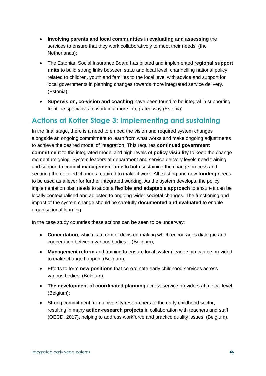- **Involving parents and local communities** in **evaluating and assessing** the services to ensure that they work collaboratively to meet their needs. (the Netherlands);
- The Estonian Social Insurance Board has piloted and implemented **regional support units** to build strong links between state and local level, channelling national policy related to children, youth and families to the local level with advice and support for local governments in planning changes towards more integrated service delivery. (Estonia);
- **Supervision, co-vision and coaching** have been found to be integral in supporting frontline specialists to work in a more integrated way (Estonia).

### **Actions at Kotter Stage 3: Implementing and sustaining**

In the final stage, there is a need to embed the vision and required system changes alongside an ongoing commitment to learn from what works and make ongoing adjustments to achieve the desired model of integration. This requires **continued government commitment** to the integrated model and high levels of **policy visibility** to keep the change momentum going. System leaders at department and service delivery levels need training and support to commit **management time** to both sustaining the change process and securing the detailed changes required to make it work. All existing and new **funding** needs to be used as a lever for further integrated working. As the system develops, the policy implementation plan needs to adopt a **flexible and adaptable approach** to ensure it can be locally contextualised and adjusted to ongoing wider societal changes. The functioning and impact of the system change should be carefully **documented and evaluated** to enable organisational learning.

In the case study countries these actions can be seen to be underway:

- **Concertation**, which is a form of decision-making which encourages dialogue and cooperation between various bodies; . (Belgium);
- **Management reform** and training to ensure local system leadership can be provided to make change happen. (Belgium);
- Efforts to form **new positions** that co-ordinate early childhood services across various bodies. (Belgium);
- **The development of coordinated planning** across service providers at a local level. (Belgium);
- Strong commitment from university researchers to the early childhood sector, resulting in many **action-research projects** in collaboration with teachers and staff (OECD, 2017), helping to address workforce and practice quality issues. (Belgium).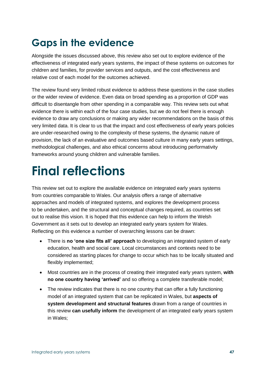## **Gaps in the evidence**

Alongside the issues discussed above, this review also set out to explore evidence of the effectiveness of integrated early years systems, the impact of these systems on outcomes for children and families, for provider services and outputs, and the cost effectiveness and relative cost of each model for the outcomes achieved.

The review found very limited robust evidence to address these questions in the case studies or the wider review of evidence. Even data on broad spending as a proportion of GDP was difficult to disentangle from other spending in a comparable way. This review sets out what evidence there is within each of the four case studies, but we do not feel there is enough evidence to draw any conclusions or making any wider recommendations on the basis of this very limited data. It is clear to us that the impact and cost effectiveness of early years policies are under-researched owing to the complexity of these systems, the dynamic nature of provision, the lack of an evaluative and outcomes based culture in many early years settings, methodological challenges, and also ethical concerns about introducing performativity frameworks around young children and vulnerable families.

# **Final reflections**

This review set out to explore the available evidence on integrated early years systems from countries comparable to Wales. Our analysis offers a range of alternative approaches and models of integrated systems, and explores the development process to be undertaken, and the structural and conceptual changes required, as countries set out to realise this vision. It is hoped that this evidence can help to inform the Welsh Government as it sets out to develop an integrated early years system for Wales. Reflecting on this evidence a number of overarching lessons can be drawn:

- There is **no 'one size fits all' approach** to developing an integrated system of early education, health and social care. Local circumstances and contexts need to be considered as starting places for change to occur which has to be locally situated and flexibly implemented;
- Most countries are in the process of creating their integrated early years system, **with no one country having 'arrived'** and so offering a complete transferable model;
- The review indicates that there is no one country that can offer a fully functioning model of an integrated system that can be replicated in Wales, but **aspects of system development and structural features** drawn from a range of countries in this review **can usefully inform** the development of an integrated early years system in Wales;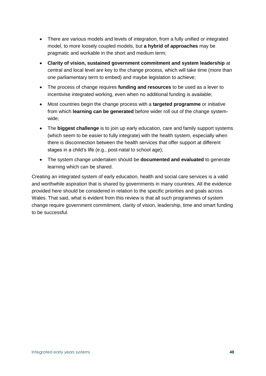- There are various models and levels of integration, from a fully unified or integrated model, to more loosely coupled models, but **a hybrid of approaches** may be pragmatic and workable in the short and medium term;
- **Clarity of vision, sustained government commitment and system leadership** at central and local level are key to the change process, which will take time (more than one parliamentary term to embed) and maybe legislation to achieve;
- The process of change requires **funding and resources** to be used as a lever to incentivise integrated working, even when no additional funding is available;
- Most countries begin the change process with a **targeted programme** or initiative from which **learning can be generated** before wider roll out of the change systemwide;
- The **biggest challenge** is to join up early education, care and family support systems (which seem to be easier to fully integrate) with the health system, especially when there is disconnection between the health services that offer support at different stages in a child's life (e.g., post-natal to school age);
- The system change undertaken should be **documented and evaluated** to generate learning which can be shared.

Creating an integrated system of early education, health and social care services is a valid and worthwhile aspiration that is shared by governments in many countries. All the evidence provided here should be considered in relation to the specific priorities and goals across Wales. That said, what is evident from this review is that all such programmes of system change require government commitment, clarity of vision, leadership, time and smart funding to be successful.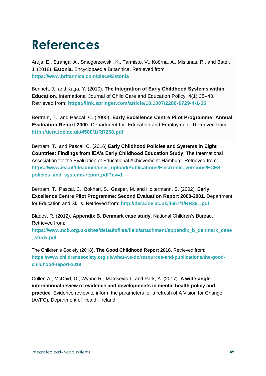# **References**

Aruja, E., Stranga, A., Smogorzewski, K., Tarmisto, V., Köörna, A., Misiunas, R., and Bater, J. (2018). **Estonia.** Encyclopaedia Britannica. Retrieved from: **<https://www.britannica.com/place/Estonia>**

Bennett, J., and Kaga, Y. (2010). **The Integration of Early Childhood Systems within Education**. [International Journal of Child Care and Education Policy.](https://link.springer.com/journal/40723) 4[\(1\)](https://link.springer.com/journal/40723/4/1/page/1):35–43. Retrieved from: **<https://link.springer.com/article/10.1007/2288-6729-4-1-35>**

Bertram, T., and Pascal, C. (2000). **Early Excellence Centre Pilot Programme: Annual Evaluation Report 2000.** Department for |Education and Employment. Retrieved from: **<http://dera.ioe.ac.uk/4580/1/RR258.pdf>**

Bertram, T., and Pascal, C. (2016) **Early Childhood Policies and Systems in Eight Countries: Findings from IEA's Early Childhood Education Study,** The International Association for the Evaluation of Educational Achievement: Hamburg. Retrieved from: **[https://www.iea.nl/fileadmin/user\\_upload/Publications/Electronic\\_versions/ECES](https://www.iea.nl/fileadmin/user_upload/Publications/Electronic_versions/ECES-policies_and_systems-report.pdf?cv=1)[policies\\_and\\_systems-report.pdf?cv=1](https://www.iea.nl/fileadmin/user_upload/Publications/Electronic_versions/ECES-policies_and_systems-report.pdf?cv=1)**

Bertram, T., Pascal, C., Bokhari, S., Gasper, M. and Holtermann, S. (2002). **Early Excellence Centre Pilot Programme: Second Evaluation Report 2000-2001**. Department for Education and Skills. Retrieved from: **<http://dera.ioe.ac.uk/4667/1/RR361.pdf>**

Blades, R. (2012). **Appendix B. Denmark case study.** National Children's Bureau. Retrieved from:

**[https://www.ncb.org.uk/sites/default/files/field/attachment/appendix\\_b\\_denmark\\_case](https://www.ncb.org.uk/sites/default/files/field/attachment/appendix_b_denmark_case_study.pdf) [\\_study.pdf](https://www.ncb.org.uk/sites/default/files/field/attachment/appendix_b_denmark_case_study.pdf)**

The Children's Society (2018**). The Good Childhood Report 2018.** Retrieved from: **[https://www.childrenssociety.org.uk/what-we-do/resources-and-publications/the-good](https://www.childrenssociety.org.uk/what-we-do/resources-and-publications/the-good-childhood-report-2018)[childhood-report-2018](https://www.childrenssociety.org.uk/what-we-do/resources-and-publications/the-good-childhood-report-2018)**

Cullen A., McDaid, D., Wynne R., Matosevic T. and Park, A. (2017). **A wide-angle international review of evidence and developments in mental health policy and practice***.* Evidence review to inform the parameters for a refresh of A Vision for Change (AVFC)*.* Department of Health: Ireland.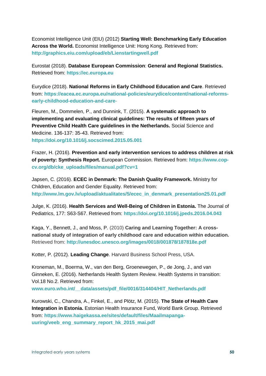Economist Intelligence Unit (EIU) (2012) **Starting Well: Benchmarking Early Education Across the World.** Economist Intelligence Unit: Hong Kong. Retrieved from: **http://graphics.eiu.com/upload/eb/Lienstartingwell.pdf**

Eurostat (2018). **[Database European Commission](https://ec.europa.eu/eurostat/web/enlargement-countries/data/database)**: **General and Regional Statistics.** Retrieved from: **[https://ec.europa.eu](https://ec.europa.eu/)**

Eurydice (2018). **National Reforms in Early Childhood Education and Care**. Retrieved from: **[https://eacea.ec.europa.eu/national-policies/eurydice/content/national-reforms](https://eacea.ec.europa.eu/national-policies/eurydice/content/national-reforms-early-childhood-education-and-care-)[early-childhood-education-and-care](https://eacea.ec.europa.eu/national-policies/eurydice/content/national-reforms-early-childhood-education-and-care-)**-

Fleuren, M., Dommelen, P., and Dunnink, T. (2015). **A systematic approach to implementing and evaluating clinical guidelines: The results of fifteen years of Preventive Child Health Care guidelines in the Netherlands.** Social Science and Medicine. 136-137: 35-43. Retrieved from: **<https://doi.org/10.1016/j.socscimed.2015.05.001>**

Frazer, H. (2016). **Prevention and early intervention services to address children at risk of poverty: Synthesis Report.** European Commission. Retrieved from: **[https://www.cop](https://www.cop-cv.org/db/cke_uploads/files/manual.pdf?cv=1)[cv.org/db/cke\\_uploads/files/manual.pdf?cv=1](https://www.cop-cv.org/db/cke_uploads/files/manual.pdf?cv=1)**

Japsen, C. (2016). **ECEC in Denmark: The Danish Quality Framework.** Ministry for Children, Education and Gender Equality. Retrieved from: **[http://www.lm.gov.lv/upload/aktualitates/5/ecec\\_in\\_denmark\\_presentation25.01.pdf](http://www.lm.gov.lv/upload/aktualitates/5/ecec_in_denmark_presentation25.01.pdf)**

Julge, K. (2016). **Health Services and Well-Being of Children in Estonia.** The Journal of Pediatrics, 177: S63-S67. Retrieved from: **<https://doi.org/10.1016/j.jpeds.2016.04.043>**

Kaga, Y., Bennett, J., and Moss, P. (2010) **Caring and Learning Together: A crossnational study of integration of early childhood care and education within education.** Retrieved from: **<http://unesdoc.unesco.org/images/0018/001878/187818e.pdf>**

Kotter, P. (2012). **Leading Change**. Harvard Business School Press, USA.

Kroneman, M., Boerma, W., van den Berg, Groenewegen, P., de Jong, J., and van Ginneken, E. (2016). Netherlands Health System Review. Health Systems in transition: Vol.18 No.2. Retrieved from:

www.euro.who.int/ data/assets/pdf file/0016/314404/HIT\_Netherlands.pdf

Kurowski, C., Chandra, A., Finkel, E., and Plötz, M. (2015). **The State of Health Care Integration in Estonia.** Estonian Health Insurance Fund, World Bank Group. Retrieved from: **[https://www.haigekassa.ee/sites/default/files/Maailmapanga](https://www.haigekassa.ee/sites/default/files/Maailmapanga-uuring/veeb_eng_summary_report_hk_2015_mai.pdf)[uuring/veeb\\_eng\\_summary\\_report\\_hk\\_2015\\_mai.pdf](https://www.haigekassa.ee/sites/default/files/Maailmapanga-uuring/veeb_eng_summary_report_hk_2015_mai.pdf)**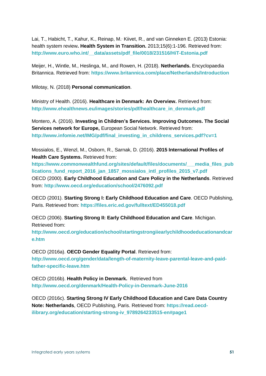[Lai,](https://www.ncbi.nlm.nih.gov/pubmed/?term=Lai%20T%5BAuthor%5D&cauthor=true&cauthor_uid=24334730) T., [Habicht,](https://www.ncbi.nlm.nih.gov/pubmed/?term=Habicht%20T%5BAuthor%5D&cauthor=true&cauthor_uid=24334730) T., [Kahur,](https://www.ncbi.nlm.nih.gov/pubmed/?term=Kahur%20K%5BAuthor%5D&cauthor=true&cauthor_uid=24334730) K., [Reinap,](https://www.ncbi.nlm.nih.gov/pubmed/?term=Reinap%20M%5BAuthor%5D&cauthor=true&cauthor_uid=24334730) M. [Kiivet,](https://www.ncbi.nlm.nih.gov/pubmed/?term=Kiivet%20R%5BAuthor%5D&cauthor=true&cauthor_uid=24334730) R., and [van Ginneken E.](https://www.ncbi.nlm.nih.gov/pubmed/?term=van%20Ginneken%20E%5BAuthor%5D&cauthor=true&cauthor_uid=24334730) (2013) Estonia: health system review**. [Health System in Transition.](https://www.ncbi.nlm.nih.gov/pubmed/24334730)** 2013;15(6):1-196. Retrieved from: **[http://www.euro.who.int/\\_\\_data/assets/pdf\\_file/0018/231516/HiT-Estonia.pdf](http://www.euro.who.int/__data/assets/pdf_file/0018/231516/HiT-Estonia.pdf)**

Meijer, H., Wintle, M., Heslinga, M., and Rowen, H. (2018). **Netherlands.** Encyclopaedia Britannica. Retrieved from: **<https://www.britannica.com/place/Netherlands/Introduction>**

Milotay, N. (2018) **Personal communication**.

Ministry of Health. (2016). **Healthcare in Denmark: An Overview.** Retrieved from: **[http://www.ehealthnews.eu/images/stories/pdf/healthcare\\_in\\_denmark.pdf](http://www.ehealthnews.eu/images/stories/pdf/healthcare_in_denmark.pdf)**

Montero, A. (2016). **Investing in Children's Services. Improving Outcomes. The Social Services network for Europe,** European Social Network. Retrieved from: **[http://www.infomie.net/IMG/pdf/final\\_investing\\_in\\_childrens\\_services.pdf?cv=1](http://www.infomie.net/IMG/pdf/final_investing_in_childrens_services.pdf?cv=1)**

Mossialos, E., Wenzl, M., Osborn, R., Sarnak, D. (2016). **2015 International Profiles of Health Care Systems. Retrieved from:** 

**[https://www.commonwealthfund.org/sites/default/files/documents/\\_\\_\\_media\\_files\\_pub](https://www.commonwealthfund.org/sites/default/files/documents/___media_files_publications_fund_report_2016_jan_1857_mossialos_intl_profiles_2015_v7.pdf) [lications\\_fund\\_report\\_2016\\_jan\\_1857\\_mossialos\\_intl\\_profiles\\_2015\\_v7.pdf](https://www.commonwealthfund.org/sites/default/files/documents/___media_files_publications_fund_report_2016_jan_1857_mossialos_intl_profiles_2015_v7.pdf)** OECD (2000). **Early Childhood Education and Care Policy in the Netherlands**. Retrieved from: **<http://www.oecd.org/education/school/2476092.pdf>**

OECD (2001). **Starting Strong I: Early Childhood Education and Care**. OECD Publishing, Paris. Retrieved from: **https://files.eric.ed.gov/fulltext/ED455018.pdf**

OECD (2006). **Starting Strong II: Early Childhood Education and Care**. Michigan. Retrieved from:

**http://www.oecd.org/education/school/startingstrongiiearlychildhoodeducationandcar e.htm**

OECD (2016a). **OECD Gender Equality Portal**. Retrieved from: **http://www.oecd.org/gender/data/length-of-maternity-leave-parental-leave-and-paidfather-specific-leave.htm**

OECD (2016b). **Health Policy in Denmark.** Retrieved from **<http://www.oecd.org/denmark/Health-Policy-in-Denmark-June-2016>**

OECD (2016c). **Starting Strong IV Early Childhood Education and Care Data Country Note: Netherlands**, OECD Publishing, Paris. Retrieved from: **https://read.oecdilibrary.org/education/starting-strong-iv\_9789264233515-en#page1**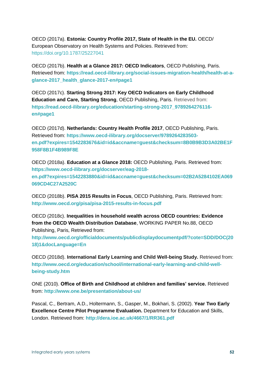OECD (2017a). **Estonia: Country Profile 2017, State of Health in the EU.** OECD/ European Observatory on Health Systems and Policies. Retrieved from: <https://doi.org/10.1787/25227041>

OECD (2017b). **Health at a Glance 2017: OECD Indicators**, OECD Publishing, Paris. Retrieved from: **https://read.oecd-ilibrary.org/social-issues-migration-health/health-at-aglance-2017\_health\_glance-2017-en#page1**

OECD (2017c). **Starting Strong 2017: Key OECD Indicators on Early Childhood Education and Care, Starting Strong**, OECD Publishing, Paris. Retrieved from: **https://read.oecd-ilibrary.org/education/starting-strong-2017\_9789264276116 en#page1**

OECD (2017d). **Netherlands: Country Health Profile 2017**, OECD Publishing, Paris. Retrieved from: **[https://www.oecd-ilibrary.org/docserver/9789264283503](https://www.oecd-ilibrary.org/docserver/9789264283503-en.pdf?expires=1542283676&id=id&accname=guest&checksum=8B0B9B3D3A02BE1F958F8B1F4B989F8E) [en.pdf?expires=1542283676&id=id&accname=guest&checksum=8B0B9B3D3A02BE1F](https://www.oecd-ilibrary.org/docserver/9789264283503-en.pdf?expires=1542283676&id=id&accname=guest&checksum=8B0B9B3D3A02BE1F958F8B1F4B989F8E) [958F8B1F4B989F8E](https://www.oecd-ilibrary.org/docserver/9789264283503-en.pdf?expires=1542283676&id=id&accname=guest&checksum=8B0B9B3D3A02BE1F958F8B1F4B989F8E)**

OECD (2018a). **Education at a Glance 2018:** OECD Publishing, Paris. Retrieved from: **[https://www.oecd-ilibrary.org/docserver/eag-2018](https://www.oecd-ilibrary.org/docserver/eag-2018-en.pdf?expires=1542283880&id=id&accname=guest&checksum=02B2A5284102EA069069CD4C27A2520C) [en.pdf?expires=1542283880&id=id&accname=guest&checksum=02B2A5284102EA069](https://www.oecd-ilibrary.org/docserver/eag-2018-en.pdf?expires=1542283880&id=id&accname=guest&checksum=02B2A5284102EA069069CD4C27A2520C) [069CD4C27A2520C](https://www.oecd-ilibrary.org/docserver/eag-2018-en.pdf?expires=1542283880&id=id&accname=guest&checksum=02B2A5284102EA069069CD4C27A2520C)**

OECD (2018b). **PISA 2015 Results in Focus**, OECD Publishing, Paris. Retrieved from: **<http://www.oecd.org/pisa/pisa-2015-results-in-focus.pdf>**

OECD (2018c). **Inequalities in household wealth across OECD countries: Evidence from the OECD Wealth Distribution Database**, WORKING PAPER No.88, OECD Publishing, Paris, Retrieved from:

**[http://www.oecd.org/officialdocuments/publicdisplaydocumentpdf/?cote=SDD/DOC\(20](http://www.oecd.org/officialdocuments/publicdisplaydocumentpdf/?cote=SDD/DOC(2018)1&docLanguage=En) [18\)1&docLanguage=En](http://www.oecd.org/officialdocuments/publicdisplaydocumentpdf/?cote=SDD/DOC(2018)1&docLanguage=En)**

OECD (2018d). **International Early Learning and Child Well-being Study.** Retrieved from: **http://www.oecd.org/education/school/international-early-learning-and-child-wellbeing-study.htm**

ONE (2010). **Office of Birth and Childhood at children and families' service.** Retrieved from: **<http://www.one.be/presentation/about-us/>**

Pascal, C., Bertram, A.D., Holtermann, S., Gasper, M., Bokhari, S. (2002). **Year Two Early Excellence Centre Pilot Programme Evaluation.** Department for Education and Skills, London. Retrieved from: **<http://dera.ioe.ac.uk/4667/1/RR361.pdf>**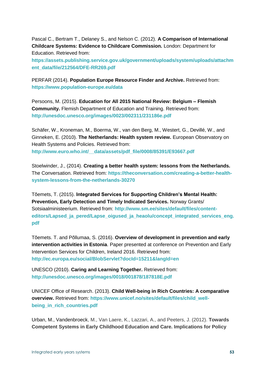Pascal C., Bertram T., Delaney S., and Nelson C. (2012). **A Comparison of International Childcare Systems: Evidence to Childcare Commission.** London: Department for Education. Retrieved from:

**[https://assets.publishing.service.gov.uk/government/uploads/system/uploads/attachm](https://assets.publishing.service.gov.uk/government/uploads/system/uploads/attachment_data/file/212564/DFE-RR269.pdf) [ent\\_data/file/212564/DFE-RR269.pdf](https://assets.publishing.service.gov.uk/government/uploads/system/uploads/attachment_data/file/212564/DFE-RR269.pdf)**

PERFAR (2014). **Population Europe Resource Finder and Archive.** Retrieved from: **<https://www.population-europe.eu/data>**

Persoons, M. (2015). **Education for All 2015 National Review: Belgium – Flemish Community.** Flemish Department of Education and Training. Retrieved from: **<http://unesdoc.unesco.org/images/0023/002311/231186e.pdf>**

Schäfer, W., Kroneman, M., Boerma, W., van den Berg, M., Westert, G., Devillé, W., and Ginneken, E. (2010). **The Netherlands: Health system review.** European Observatory on Health Systems and Policies. Retrieved from: **[http://www.euro.who.int/\\_\\_data/assets/pdf\\_file/0008/85391/E93667.pdf](http://www.euro.who.int/__data/assets/pdf_file/0008/85391/E93667.pdf)**

Stoelwinder, J., (2014). **Creating a better health system: lessons from the Netherlands.**  The Conversation. Retrieved from: **[https://theconversation.com/creating-a-better-health](https://theconversation.com/creating-a-better-health-system-lessons-from-the-netherlands-30270)[system-lessons-from-the-netherlands-30270](https://theconversation.com/creating-a-better-health-system-lessons-from-the-netherlands-30270)**

Tõemets, T. (2015). **Integrated Services for Supporting Children's Mental Health: Prevention, Early Detection and Timely Indicated Services.** Norway Grants/ Sotsiaalministeerium. Retrieved from: **[http://www.sm.ee/sites/default/files/content](http://www.sm.ee/sites/default/files/content-editors/Lapsed_ja_pered/Lapse_oigused_ja_heaolu/concept_integrated_services_eng.pdf)[editors/Lapsed\\_ja\\_pered/Lapse\\_oigused\\_ja\\_heaolu/concept\\_integrated\\_services\\_eng.](http://www.sm.ee/sites/default/files/content-editors/Lapsed_ja_pered/Lapse_oigused_ja_heaolu/concept_integrated_services_eng.pdf) [pdf](http://www.sm.ee/sites/default/files/content-editors/Lapsed_ja_pered/Lapse_oigused_ja_heaolu/concept_integrated_services_eng.pdf)**

Tõemets. T. and Põllumaa, S. (2016). **Overview of development in prevention and early intervention activities in Estonia**. Paper presented at conference on Prevention and Early Intervention Services for Children, Ireland 2016. Retrieved from: **<http://ec.europa.eu/social/BlobServlet?docId=15211&langId=en>**

UNESCO (2010). **Caring and Learning Together.** Retrieved from: **<http://unesdoc.unesco.org/images/0018/001878/187818E.pdf>**

UNICEF Office of Research. (2013). **Child Well-being in Rich Countries: A comparative overview.** Retrieved from: **[https://www.unicef.no/sites/default/files/child\\_well](https://www.unicef.no/sites/default/files/child_well-being_in_rich_countries.pdf)[being\\_in\\_rich\\_countries.pdf](https://www.unicef.no/sites/default/files/child_well-being_in_rich_countries.pdf)**

Urban, M., Vandenbroeck, M., Van Laere, K., Lazzari, A., and Peeters, J. (2012). **Towards Competent Systems in Early Childhood Education and Care. Implications for Policy**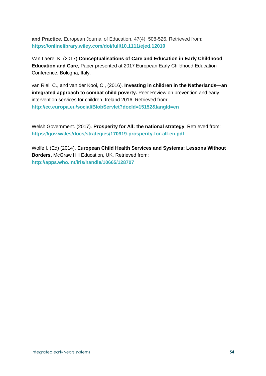**and Practice**. European Journal of Education, 47(4): 508-526. Retrieved from: **<https://onlinelibrary.wiley.com/doi/full/10.1111/ejed.12010>**

Van Laere, K. (2017) **Conceptualisations of Care and Education in Early Childhood Education and Care**, Paper presented at 2017 European Early Childhood Education Conference, Bologna, Italy.

van Riel, C., and van der Kooi, C., (2016). **Investing in children in the Netherlands—an integrated approach to combat child poverty.** Peer Review on prevention and early intervention services for children, Ireland 2016. Retrieved from: **<http://ec.europa.eu/social/BlobServlet?docId=15152&langId=en>**

Welsh Government. (2017). **Prosperity for All: the national strategy**. Retrieved from: **<https://gov.wales/docs/strategies/170919-prosperity-for-all-en.pdf>**

[Wolfe](https://www.google.co.uk/search?tbo=p&tbm=bks&q=inauthor:%22Ingrid+Wolfe%22&source=gbs_metadata_r&cad=6) I. (Ed) (2014). **European Child Health Services and Systems: Lessons Without Borders,** McGraw Hill Education, UK. Retrieved from: **<http://apps.who.int/iris/handle/10665/128707>**